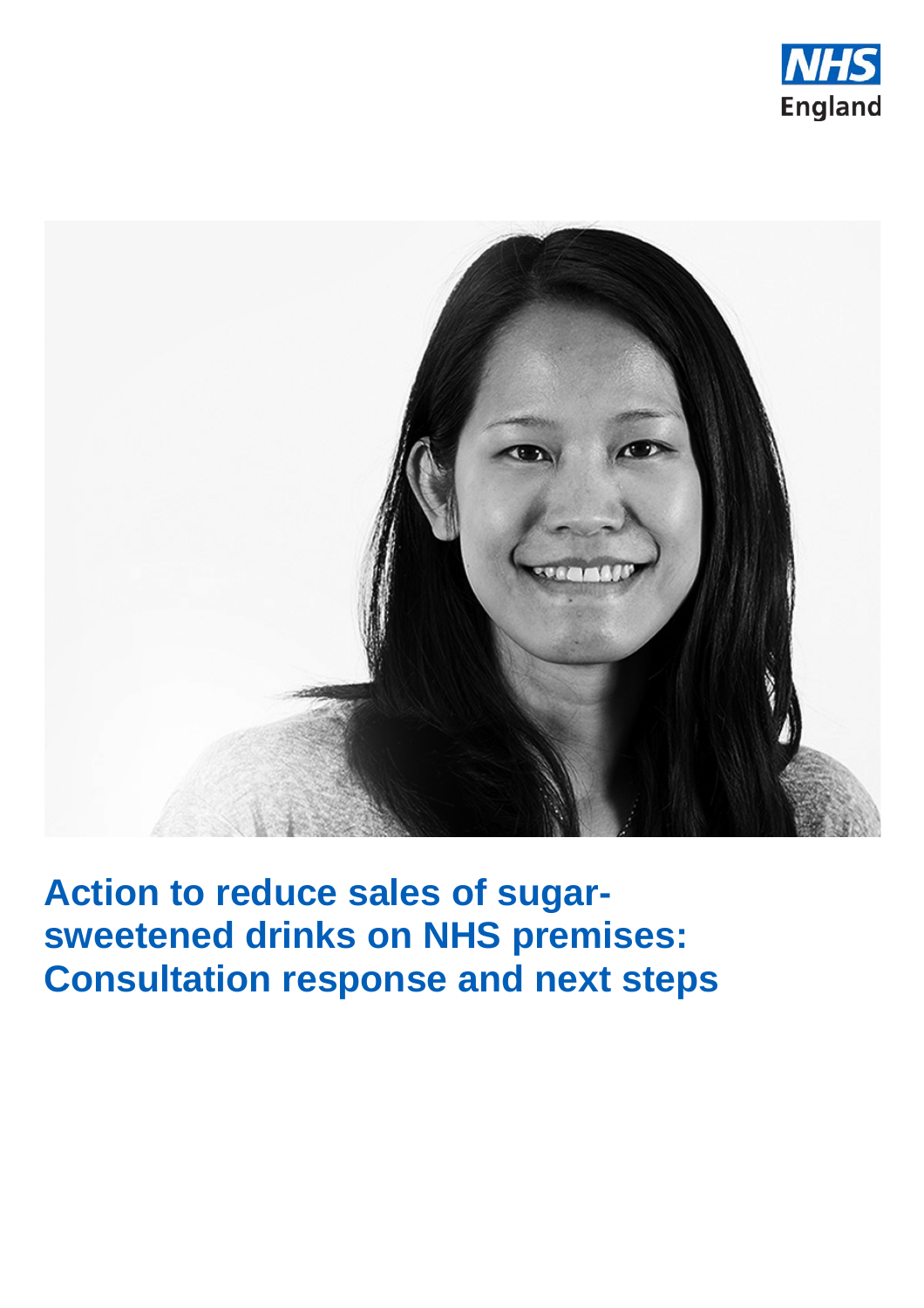



**Action to reduce sales of sugarsweetened drinks on NHS premises: Consultation response and next steps**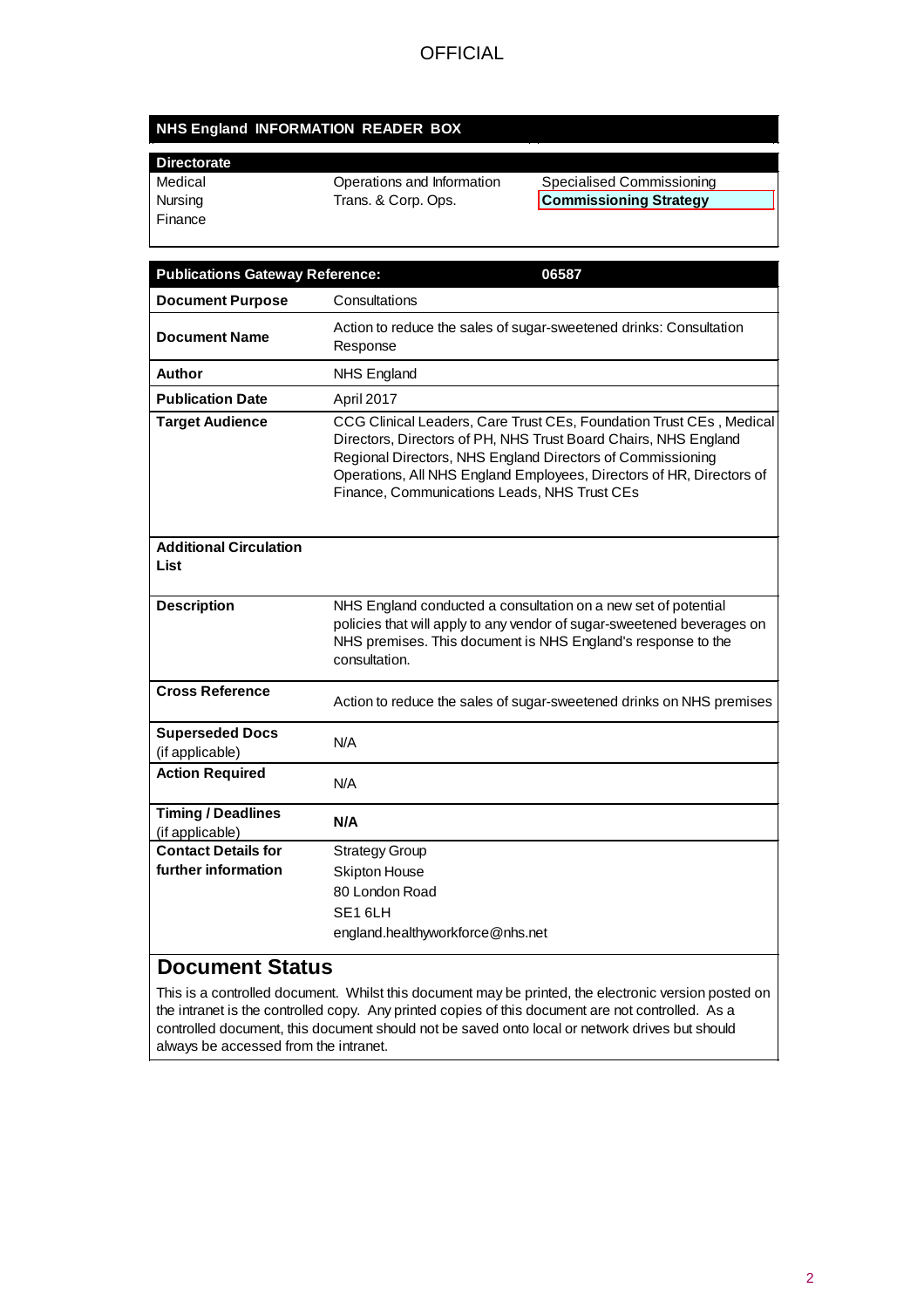#### **NHS England INFORMATION READER BOX**

| <b>Directorate</b> |                            |                               |
|--------------------|----------------------------|-------------------------------|
| Medical            | Operations and Information | Specialised Commissioning     |
| Nursing            | Trans. & Corp. Ops.        | <b>Commissioning Strategy</b> |
| l Finance          |                            |                               |

| <b>Publications Gateway Reference:</b>       | 06587                                                                                                                                                                                                                                                                                                                        |
|----------------------------------------------|------------------------------------------------------------------------------------------------------------------------------------------------------------------------------------------------------------------------------------------------------------------------------------------------------------------------------|
| <b>Document Purpose</b>                      | Consultations                                                                                                                                                                                                                                                                                                                |
| <b>Document Name</b>                         | Action to reduce the sales of sugar-sweetened drinks: Consultation<br>Response                                                                                                                                                                                                                                               |
| Author                                       | <b>NHS England</b>                                                                                                                                                                                                                                                                                                           |
| <b>Publication Date</b>                      | April 2017                                                                                                                                                                                                                                                                                                                   |
| <b>Target Audience</b>                       | CCG Clinical Leaders, Care Trust CEs, Foundation Trust CEs, Medical<br>Directors, Directors of PH, NHS Trust Board Chairs, NHS England<br>Regional Directors, NHS England Directors of Commissioning<br>Operations, All NHS England Employees, Directors of HR, Directors of<br>Finance, Communications Leads, NHS Trust CEs |
| <b>Additional Circulation</b><br>List        |                                                                                                                                                                                                                                                                                                                              |
| <b>Description</b>                           | NHS England conducted a consultation on a new set of potential<br>policies that will apply to any vendor of sugar-sweetened beverages on<br>NHS premises. This document is NHS England's response to the<br>consultation.                                                                                                    |
| <b>Cross Reference</b>                       | Action to reduce the sales of sugar-sweetened drinks on NHS premises                                                                                                                                                                                                                                                         |
| <b>Superseded Docs</b><br>(if applicable)    | N/A                                                                                                                                                                                                                                                                                                                          |
| <b>Action Required</b>                       | N/A                                                                                                                                                                                                                                                                                                                          |
| <b>Timing / Deadlines</b><br>(if applicable) | N/A                                                                                                                                                                                                                                                                                                                          |
| <b>Contact Details for</b>                   | <b>Strategy Group</b>                                                                                                                                                                                                                                                                                                        |
| further information                          | <b>Skipton House</b>                                                                                                                                                                                                                                                                                                         |
|                                              | 80 London Road                                                                                                                                                                                                                                                                                                               |
|                                              | SE <sub>16LH</sub>                                                                                                                                                                                                                                                                                                           |
|                                              | england.healthyworkforce@nhs.net                                                                                                                                                                                                                                                                                             |
| Document Status                              |                                                                                                                                                                                                                                                                                                                              |

**Document Status** This is a controlled document. Whilst this document may be printed, the electronic version posted on

the intranet is the controlled copy. Any printed copies of this document are not controlled. As a controlled document, this document should not be saved onto local or network drives but should always be accessed from the intranet.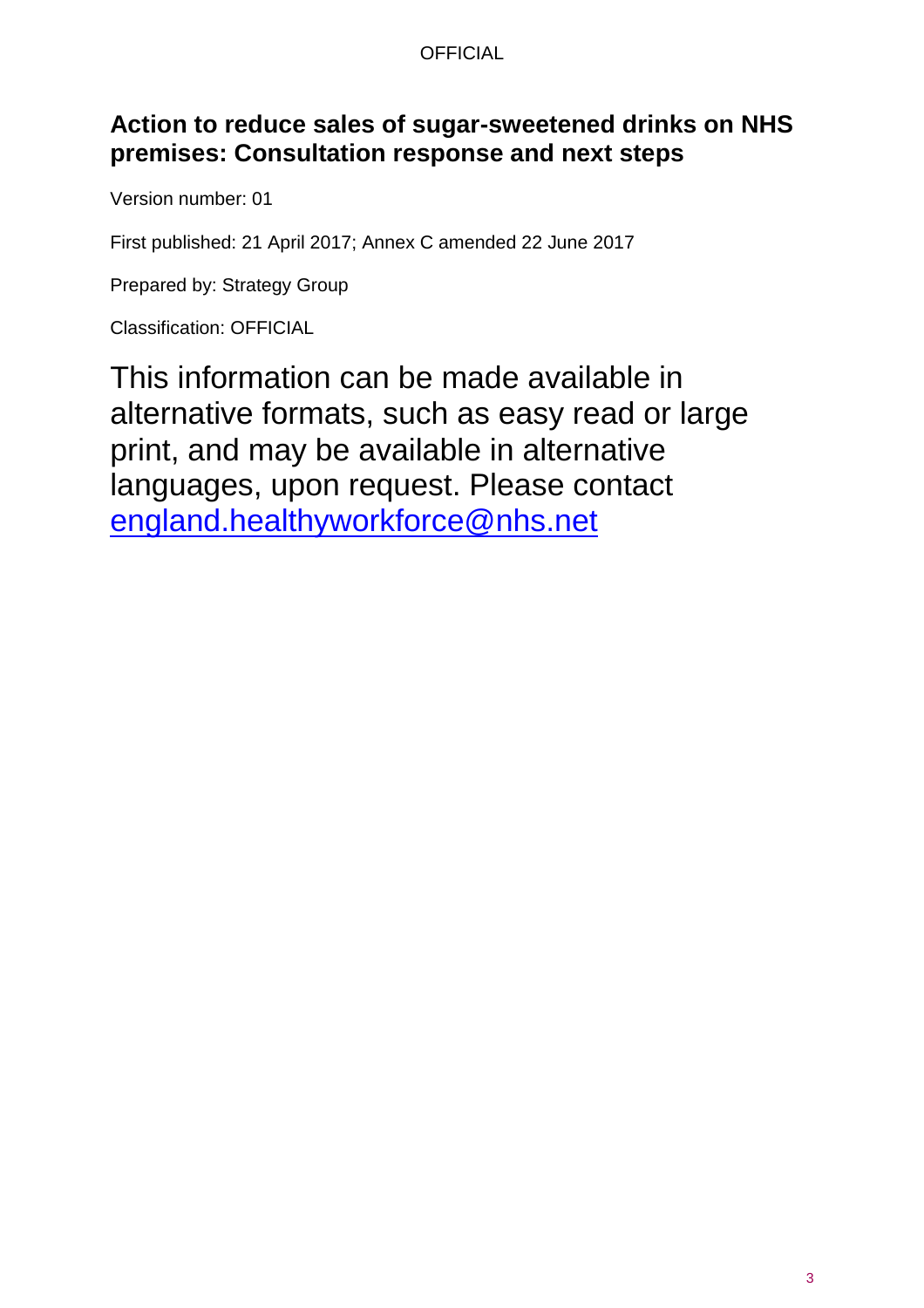## **Action to reduce sales of sugar-sweetened drinks on NHS premises: Consultation response and next steps**

Version number: 01

First published: 21 April 2017; Annex C amended 22 June 2017

Prepared by: Strategy Group

Classification: OFFICIAL

This information can be made available in alternative formats, such as easy read or large print, and may be available in alternative languages, upon request. Please contact [england.healthyworkforce@nhs.net](mailto:england.healthyworkforce@nhs.net)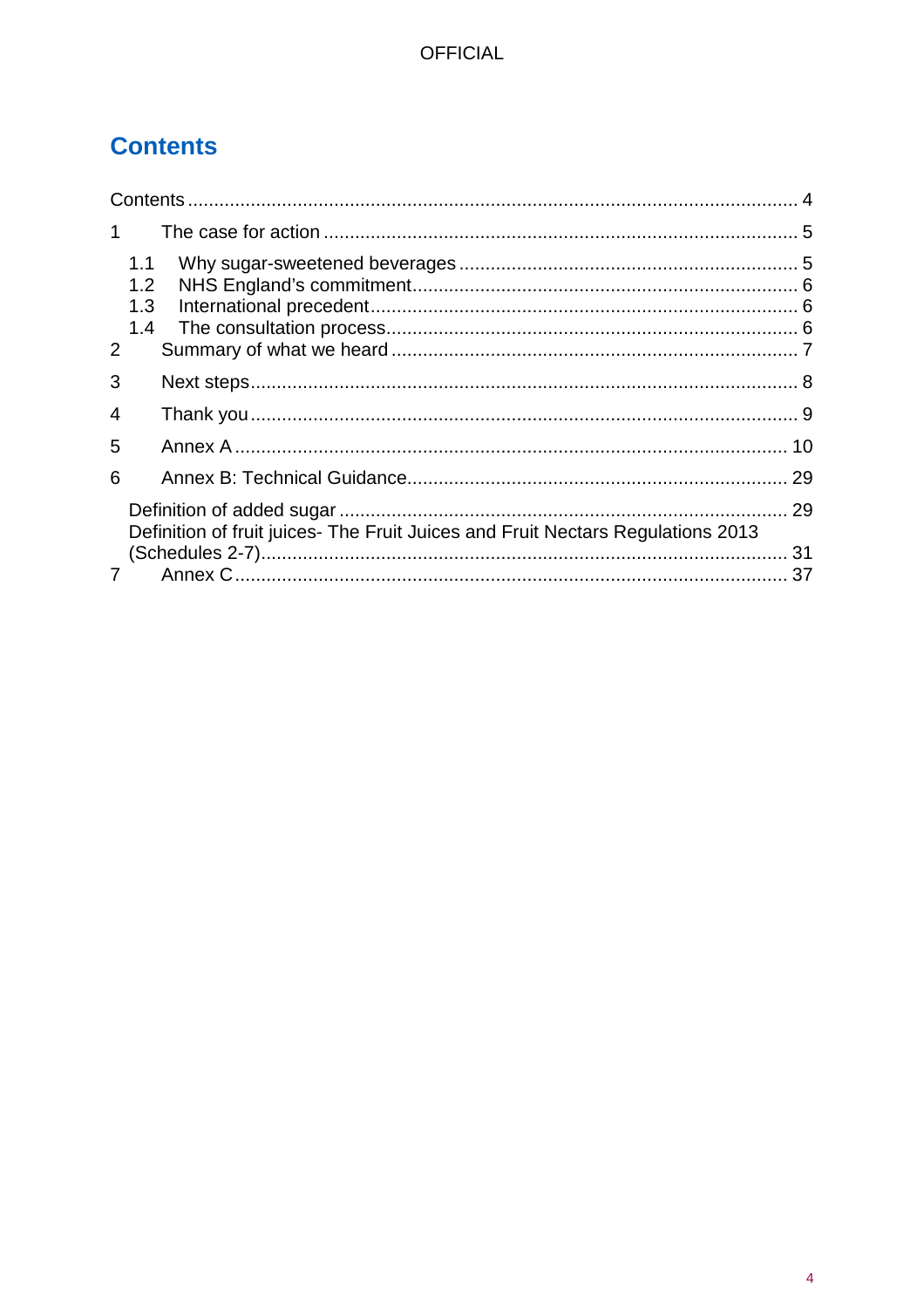# <span id="page-3-0"></span>**Contents**

| $\mathbf 1$ |                                                                                 |    |
|-------------|---------------------------------------------------------------------------------|----|
| 2           | 1.1<br>1.2<br>1.3<br>1.4                                                        |    |
| 3           |                                                                                 |    |
| 4           |                                                                                 |    |
| 5           |                                                                                 |    |
| 6           |                                                                                 |    |
|             | Definition of fruit juices- The Fruit Juices and Fruit Nectars Regulations 2013 | 29 |
|             |                                                                                 |    |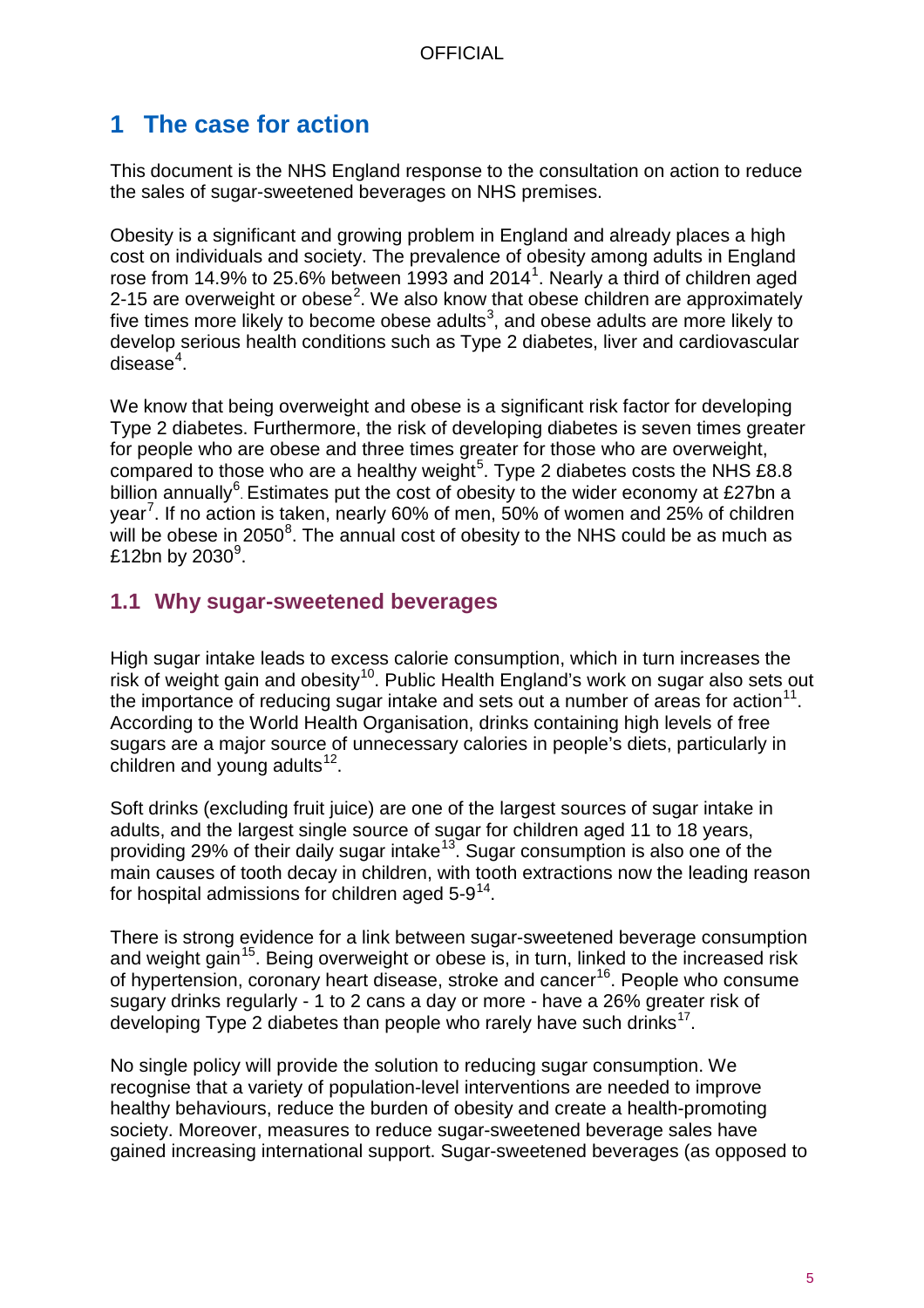## <span id="page-4-0"></span>**1 The case for action**

This document is the NHS England response to the consultation on action to reduce the sales of sugar-sweetened beverages on NHS premises.

Obesity is a significant and growing problem in England and already places a high cost on individuals and society. The prevalence of obesity among adults in England rose from [1](#page-37-0)4.9% to 25.6% between 1993 and 2014<sup>1</sup>. Nearly a third of children aged [2](#page-37-1)-15 are overweight or obese<sup>2</sup>. We also know that obese children are approximately five times more likely to become obese adults $^3$  $^3$ , and obese adults are more likely to develop serious health conditions such as Type 2 diabetes, liver and cardiovascular disease $^4$  $^4$ .

We know that being overweight and obese is a significant risk factor for developing Type 2 diabetes. Furthermore, the risk of developing diabetes is seven times greater for people who are obese and three times greater for those who are overweight, compared to those who are a healthy weight<sup>[5](#page-37-4)</sup>. Type 2 diabetes costs the NHS £8.8 billion annually<sup>[6](#page-37-5)</sup>. Estimates put the cost of obesity to the wider economy at £27bn a year<sup>[7](#page-37-6)</sup>. If no action is taken, nearly 60% of men, 50% of women and 25% of children will be obese in 2050<sup>[8](#page-37-7)</sup>. The annual cost of obesity to the NHS could be as much as  $£12$ bn by 2030 $^9$  $^9$ .

## <span id="page-4-1"></span>**1.1 Why sugar-sweetened beverages**

High sugar intake leads to excess calorie consumption, which in turn increases the risk of weight gain and obesity<sup>[10](#page-37-9)</sup>. Public Health England's work on sugar also sets out the importance of reducing sugar intake and sets out a number of areas for action<sup>[11](#page-37-10)</sup>. According to the World Health Organisation, drinks containing high levels of free sugars are a major source of unnecessary calories in people's diets, particularly in children and young adults $12$ .

Soft drinks (excluding fruit juice) are one of the largest sources of sugar intake in adults, and the largest single source of sugar for children aged 11 to 18 years, providing 29% of their daily sugar intake<sup>[13](#page-37-12)</sup>. Sugar consumption is also one of the main causes of tooth decay in children, with tooth extractions now the leading reason for hospital admissions for children aged  $5-9^{14}$ .

There is strong evidence for a link between sugar-sweetened beverage consumption and weight gain<sup>[15](#page-37-14)</sup>. Being overweight or obese is, in turn, linked to the increased risk of hypertension, coronary heart disease, stroke and cancer<sup>[16](#page-37-15)</sup>. People who consume sugary drinks regularly - 1 to 2 cans a day or more - have a 26% greater risk of developing Type 2 diabetes than people who rarely have such drinks<sup>17</sup>.

No single policy will provide the solution to reducing sugar consumption. We recognise that a variety of population-level interventions are needed to improve healthy behaviours, reduce the burden of obesity and create a health-promoting society. Moreover, measures to reduce sugar-sweetened beverage sales have gained increasing international support. Sugar-sweetened beverages (as opposed to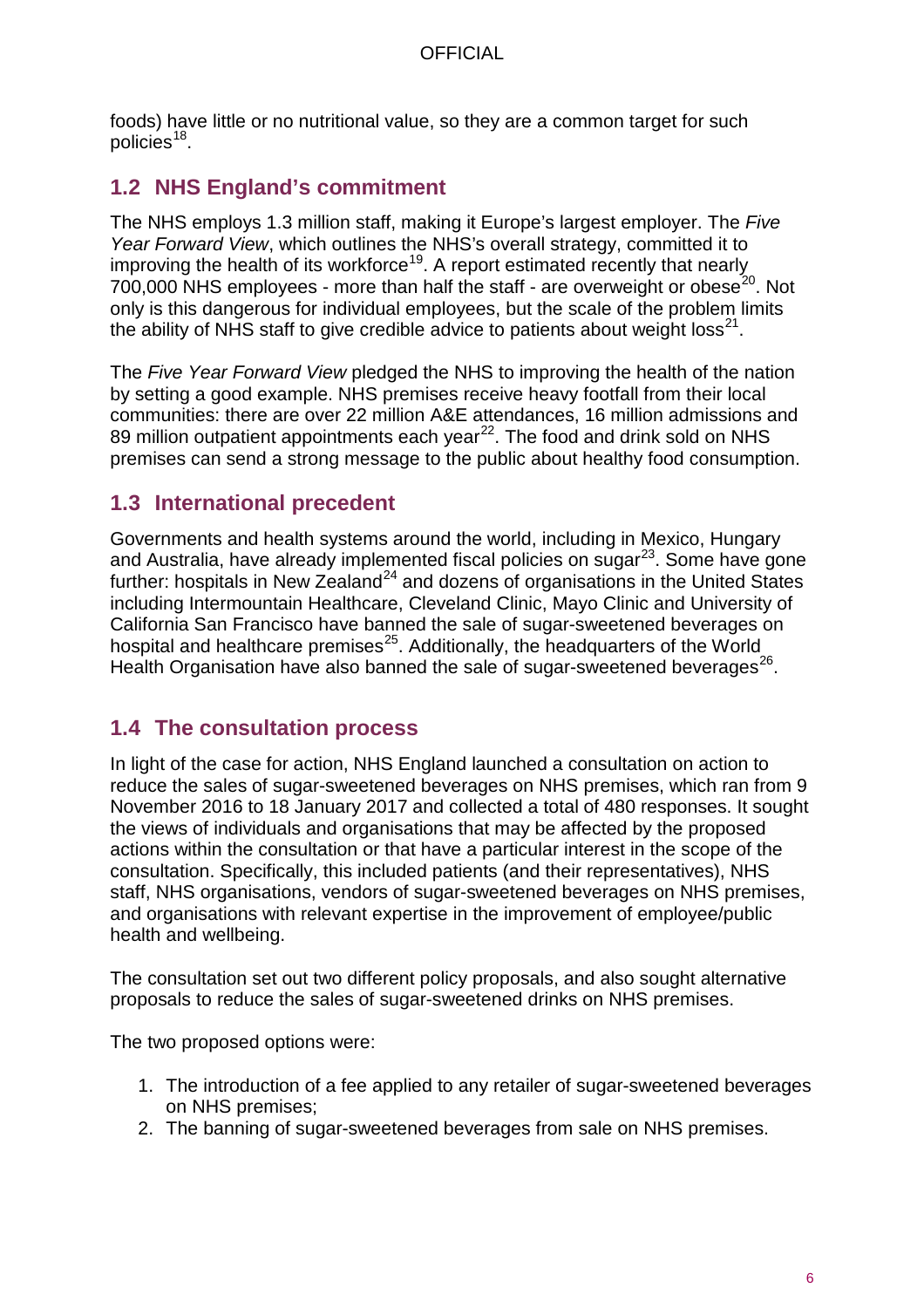foods) have little or no nutritional value, so they are a common target for such policies $18$ .

## <span id="page-5-0"></span>**1.2 NHS England's commitment**

The NHS employs 1.3 million staff, making it Europe's largest employer. The *Five Year Forward View*, which outlines the NHS's overall strategy, committed it to improving the health of its workforce<sup>[19](#page-37-18)</sup>. A report estimated recently that nearly 700,000 NHS employees - more than half the staff - are overweight or obese<sup>[20](#page-37-19)</sup>. Not only is this dangerous for individual employees, but the scale of the problem limits the ability of NHS staff to give credible advice to patients about weight  $loss^{21}$ .

The *Five Year Forward View* pledged the NHS to improving the health of the nation by setting a good example. NHS premises receive heavy footfall from their local communities: there are over 22 million A&E attendances, 16 million admissions and 89 million outpatient appointments each year<sup>[22](#page-37-21)</sup>. The food and drink sold on NHS premises can send a strong message to the public about healthy food consumption.

## <span id="page-5-1"></span>**1.3 International precedent**

Governments and health systems around the world, including in Mexico, Hungary and Australia, have already implemented fiscal policies on sugar<sup>23</sup>. Some have gone further: hospitals in New Zealand<sup>[24](#page-37-23)</sup> and dozens of organisations in the United States including Intermountain Healthcare, Cleveland Clinic, Mayo Clinic and University of California San Francisco have banned the sale of sugar-sweetened beverages on hospital and healthcare premises<sup>[25](#page-37-24)</sup>. Additionally, the headquarters of the World Health Organisation have also banned the sale of sugar-sweetened beverages<sup>[26](#page-37-25)</sup>.

## <span id="page-5-2"></span>**1.4 The consultation process**

In light of the case for action, NHS England launched a consultation on action to reduce the sales of sugar-sweetened beverages on NHS premises, which ran from 9 November 2016 to 18 January 2017 and collected a total of 480 responses. It sought the views of individuals and organisations that may be affected by the proposed actions within the consultation or that have a particular interest in the scope of the consultation. Specifically, this included patients (and their representatives), NHS staff, NHS organisations, vendors of sugar-sweetened beverages on NHS premises, and organisations with relevant expertise in the improvement of employee/public health and wellbeing.

The consultation set out two different policy proposals, and also sought alternative proposals to reduce the sales of sugar-sweetened drinks on NHS premises.

The two proposed options were:

- 1. The introduction of a fee applied to any retailer of sugar-sweetened beverages on NHS premises;
- 2. The banning of sugar-sweetened beverages from sale on NHS premises.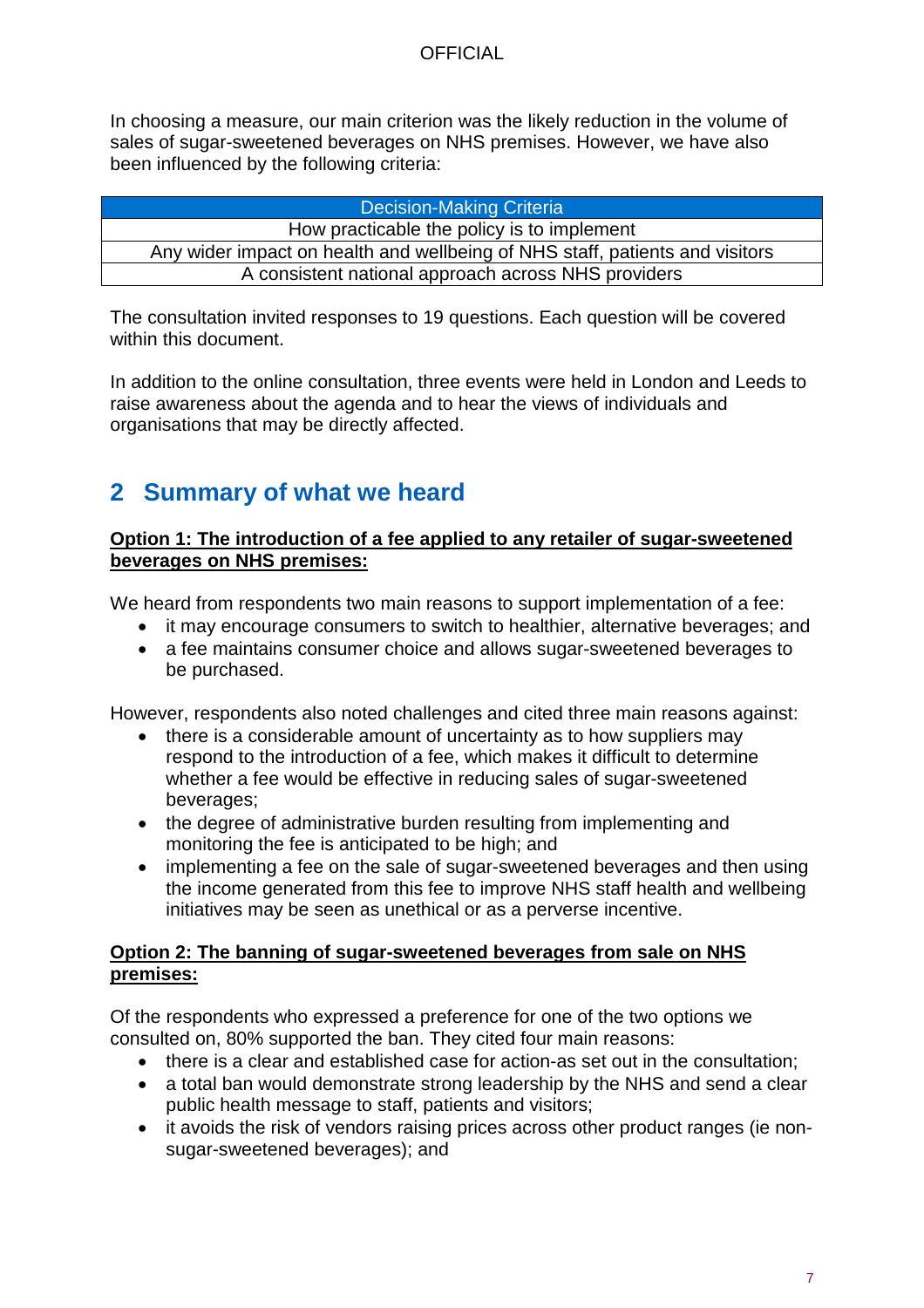In choosing a measure, our main criterion was the likely reduction in the volume of sales of sugar-sweetened beverages on NHS premises. However, we have also been influenced by the following criteria:

| <b>Decision-Making Criteria</b>                                              |
|------------------------------------------------------------------------------|
| How practicable the policy is to implement                                   |
| Any wider impact on health and wellbeing of NHS staff, patients and visitors |
| A consistent national approach across NHS providers                          |

The consultation invited responses to 19 questions. Each question will be covered within this document.

In addition to the online consultation, three events were held in London and Leeds to raise awareness about the agenda and to hear the views of individuals and organisations that may be directly affected.

# <span id="page-6-0"></span>**2 Summary of what we heard**

### **Option 1: The introduction of a fee applied to any retailer of sugar-sweetened beverages on NHS premises:**

We heard from respondents two main reasons to support implementation of a fee:

- it may encourage consumers to switch to healthier, alternative beverages; and
- a fee maintains consumer choice and allows sugar-sweetened beverages to be purchased.

However, respondents also noted challenges and cited three main reasons against:

- there is a considerable amount of uncertainty as to how suppliers may respond to the introduction of a fee, which makes it difficult to determine whether a fee would be effective in reducing sales of sugar-sweetened beverages;
- the degree of administrative burden resulting from implementing and monitoring the fee is anticipated to be high; and
- implementing a fee on the sale of sugar-sweetened beverages and then using the income generated from this fee to improve NHS staff health and wellbeing initiatives may be seen as unethical or as a perverse incentive.

#### **Option 2: The banning of sugar-sweetened beverages from sale on NHS premises:**

Of the respondents who expressed a preference for one of the two options we consulted on, 80% supported the ban. They cited four main reasons:

- there is a clear and established case for action-as set out in the consultation;
- a total ban would demonstrate strong leadership by the NHS and send a clear public health message to staff, patients and visitors;
- it avoids the risk of vendors raising prices across other product ranges (ie nonsugar-sweetened beverages); and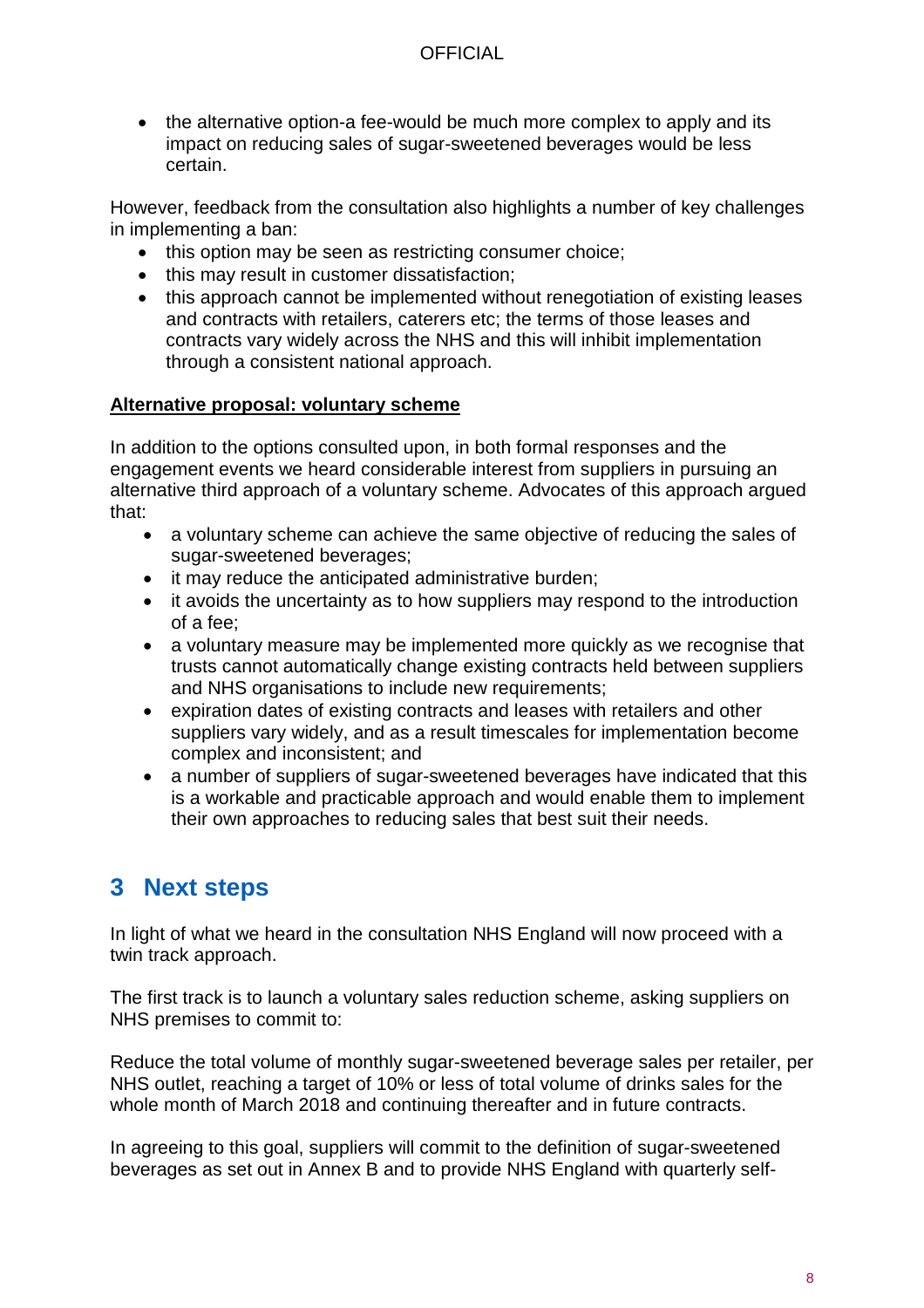• the alternative option-a fee-would be much more complex to apply and its impact on reducing sales of sugar-sweetened beverages would be less certain.

However, feedback from the consultation also highlights a number of key challenges in implementing a ban:

- this option may be seen as restricting consumer choice;
- this may result in customer dissatisfaction;
- this approach cannot be implemented without renegotiation of existing leases and contracts with retailers, caterers etc; the terms of those leases and contracts vary widely across the NHS and this will inhibit implementation through a consistent national approach.

#### **Alternative proposal: voluntary scheme**

In addition to the options consulted upon, in both formal responses and the engagement events we heard considerable interest from suppliers in pursuing an alternative third approach of a voluntary scheme. Advocates of this approach argued that:

- a voluntary scheme can achieve the same objective of reducing the sales of sugar-sweetened beverages;
- it may reduce the anticipated administrative burden;
- it avoids the uncertainty as to how suppliers may respond to the introduction of a fee;
- a voluntary measure may be implemented more quickly as we recognise that trusts cannot automatically change existing contracts held between suppliers and NHS organisations to include new requirements;
- expiration dates of existing contracts and leases with retailers and other suppliers vary widely, and as a result timescales for implementation become complex and inconsistent; and
- a number of suppliers of sugar-sweetened beverages have indicated that this is a workable and practicable approach and would enable them to implement their own approaches to reducing sales that best suit their needs.

## <span id="page-7-0"></span>**3 Next steps**

In light of what we heard in the consultation NHS England will now proceed with a twin track approach.

The first track is to launch a voluntary sales reduction scheme, asking suppliers on NHS premises to commit to:

Reduce the total volume of monthly sugar-sweetened beverage sales per retailer, per NHS outlet, reaching a target of 10% or less of total volume of drinks sales for the whole month of March 2018 and continuing thereafter and in future contracts.

In agreeing to this goal, suppliers will commit to the definition of sugar-sweetened beverages as set out in Annex B and to provide NHS England with quarterly self-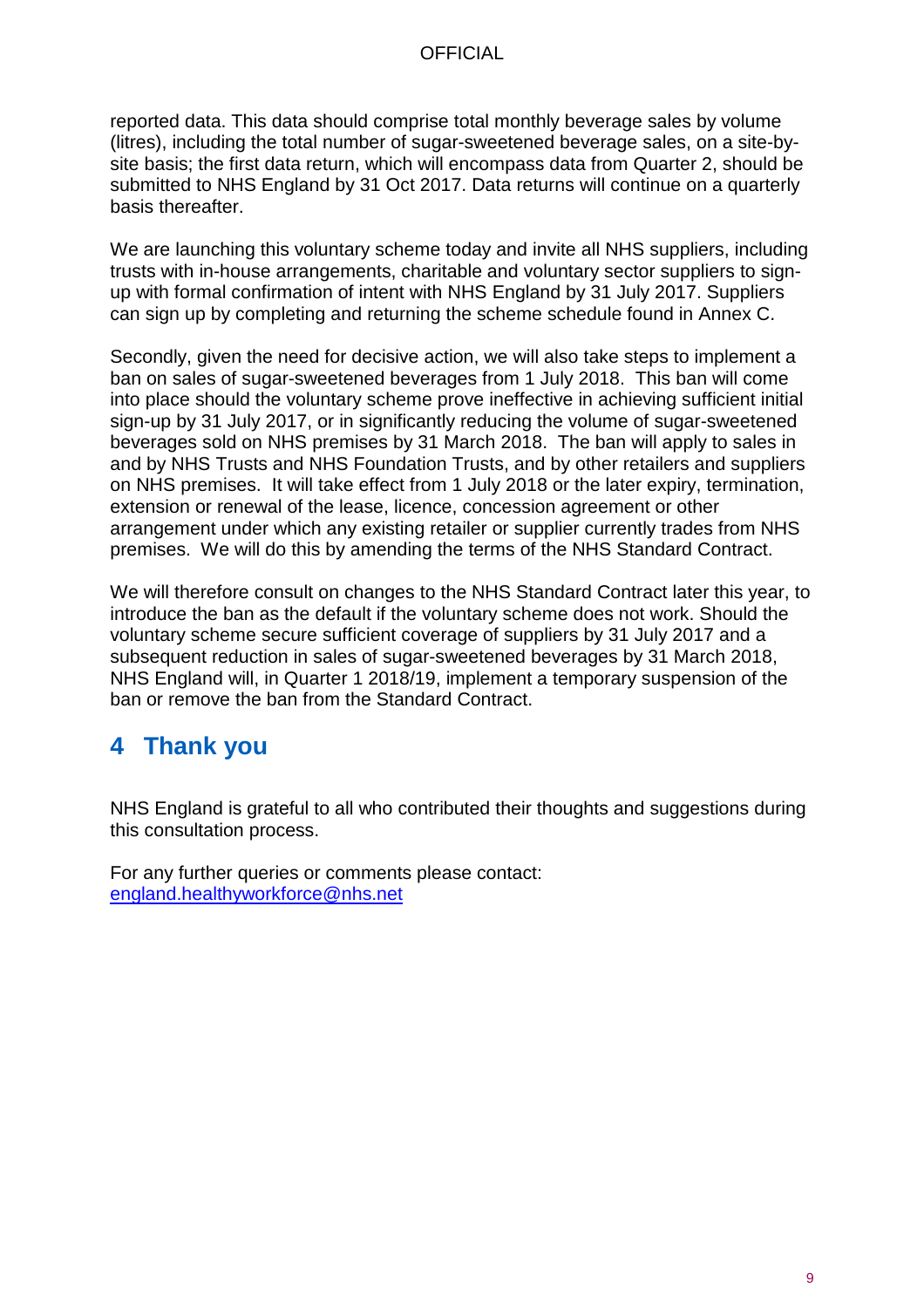reported data. This data should comprise total monthly beverage sales by volume (litres), including the total number of sugar-sweetened beverage sales, on a site-bysite basis; the first data return, which will encompass data from Quarter 2, should be submitted to NHS England by 31 Oct 2017. Data returns will continue on a quarterly basis thereafter.

We are launching this voluntary scheme today and invite all NHS suppliers, including trusts with in-house arrangements, charitable and voluntary sector suppliers to signup with formal confirmation of intent with NHS England by 31 July 2017. Suppliers can sign up by completing and returning the scheme schedule found in Annex C.

Secondly, given the need for decisive action, we will also take steps to implement a ban on sales of sugar-sweetened beverages from 1 July 2018. This ban will come into place should the voluntary scheme prove ineffective in achieving sufficient initial sign-up by 31 July 2017, or in significantly reducing the volume of sugar-sweetened beverages sold on NHS premises by 31 March 2018. The ban will apply to sales in and by NHS Trusts and NHS Foundation Trusts, and by other retailers and suppliers on NHS premises. It will take effect from 1 July 2018 or the later expiry, termination, extension or renewal of the lease, licence, concession agreement or other arrangement under which any existing retailer or supplier currently trades from NHS premises. We will do this by amending the terms of the NHS Standard Contract.

We will therefore consult on changes to the NHS Standard Contract later this year, to introduce the ban as the default if the voluntary scheme does not work. Should the voluntary scheme secure sufficient coverage of suppliers by 31 July 2017 and a subsequent reduction in sales of sugar-sweetened beverages by 31 March 2018, NHS England will, in Quarter 1 2018/19, implement a temporary suspension of the ban or remove the ban from the Standard Contract.

## <span id="page-8-0"></span>**4 Thank you**

NHS England is grateful to all who contributed their thoughts and suggestions during this consultation process.

For any further queries or comments please contact: [england.healthyworkforce@nhs.net](mailto:england.healthyworkforce@nhs.net)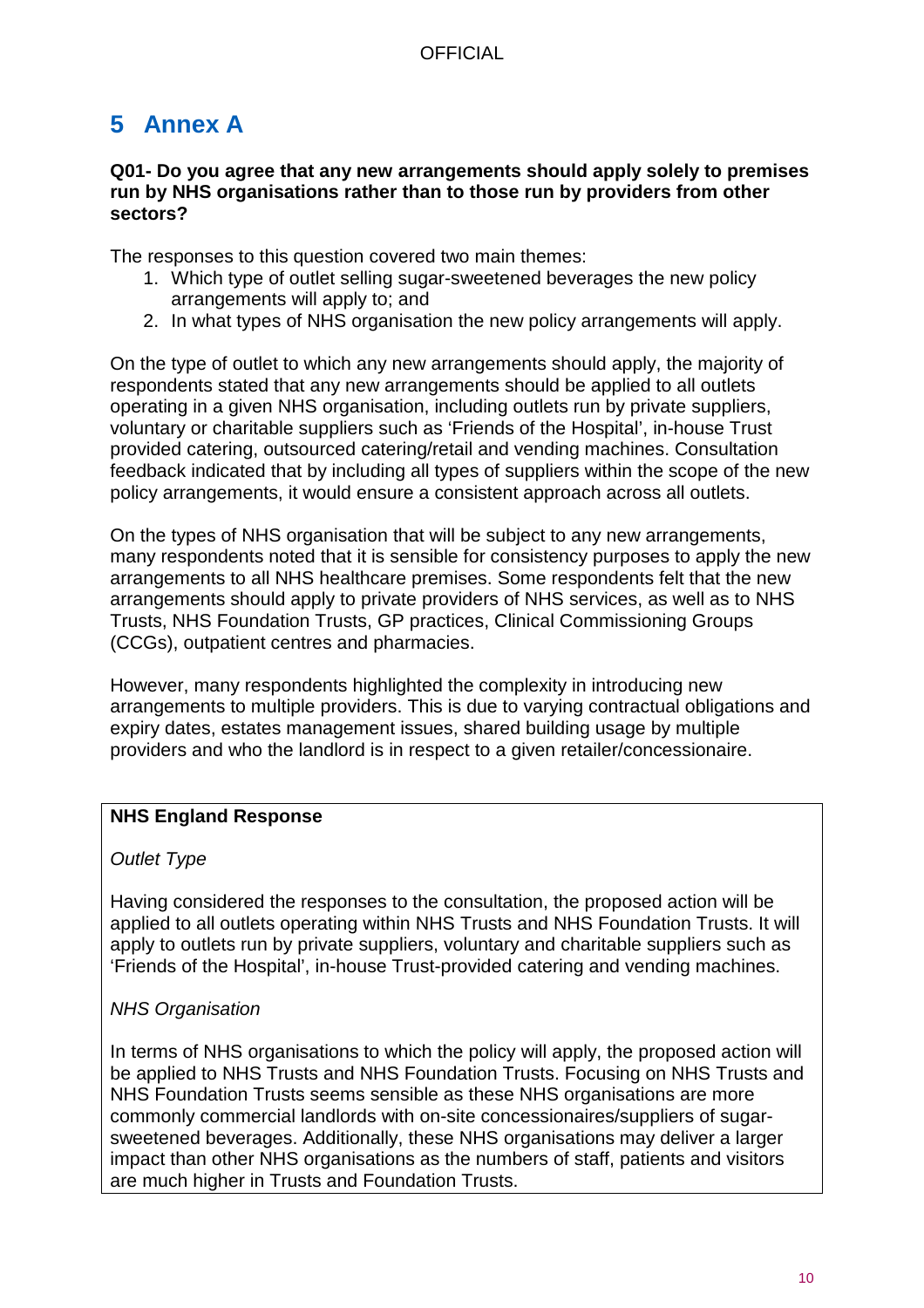# <span id="page-9-0"></span>**5 Annex A**

#### **Q01- Do you agree that any new arrangements should apply solely to premises run by NHS organisations rather than to those run by providers from other sectors?**

The responses to this question covered two main themes:

- 1. Which type of outlet selling sugar-sweetened beverages the new policy arrangements will apply to; and
- 2. In what types of NHS organisation the new policy arrangements will apply.

On the type of outlet to which any new arrangements should apply, the majority of respondents stated that any new arrangements should be applied to all outlets operating in a given NHS organisation, including outlets run by private suppliers, voluntary or charitable suppliers such as 'Friends of the Hospital', in-house Trust provided catering, outsourced catering/retail and vending machines. Consultation feedback indicated that by including all types of suppliers within the scope of the new policy arrangements, it would ensure a consistent approach across all outlets.

On the types of NHS organisation that will be subject to any new arrangements, many respondents noted that it is sensible for consistency purposes to apply the new arrangements to all NHS healthcare premises. Some respondents felt that the new arrangements should apply to private providers of NHS services, as well as to NHS Trusts, NHS Foundation Trusts, GP practices, Clinical Commissioning Groups (CCGs), outpatient centres and pharmacies.

However, many respondents highlighted the complexity in introducing new arrangements to multiple providers. This is due to varying contractual obligations and expiry dates, estates management issues, shared building usage by multiple providers and who the landlord is in respect to a given retailer/concessionaire.

## **NHS England Response**

## *Outlet Type*

Having considered the responses to the consultation, the proposed action will be applied to all outlets operating within NHS Trusts and NHS Foundation Trusts. It will apply to outlets run by private suppliers, voluntary and charitable suppliers such as 'Friends of the Hospital', in-house Trust-provided catering and vending machines.

## *NHS Organisation*

In terms of NHS organisations to which the policy will apply, the proposed action will be applied to NHS Trusts and NHS Foundation Trusts. Focusing on NHS Trusts and NHS Foundation Trusts seems sensible as these NHS organisations are more commonly commercial landlords with on-site concessionaires/suppliers of sugarsweetened beverages. Additionally, these NHS organisations may deliver a larger impact than other NHS organisations as the numbers of staff, patients and visitors are much higher in Trusts and Foundation Trusts.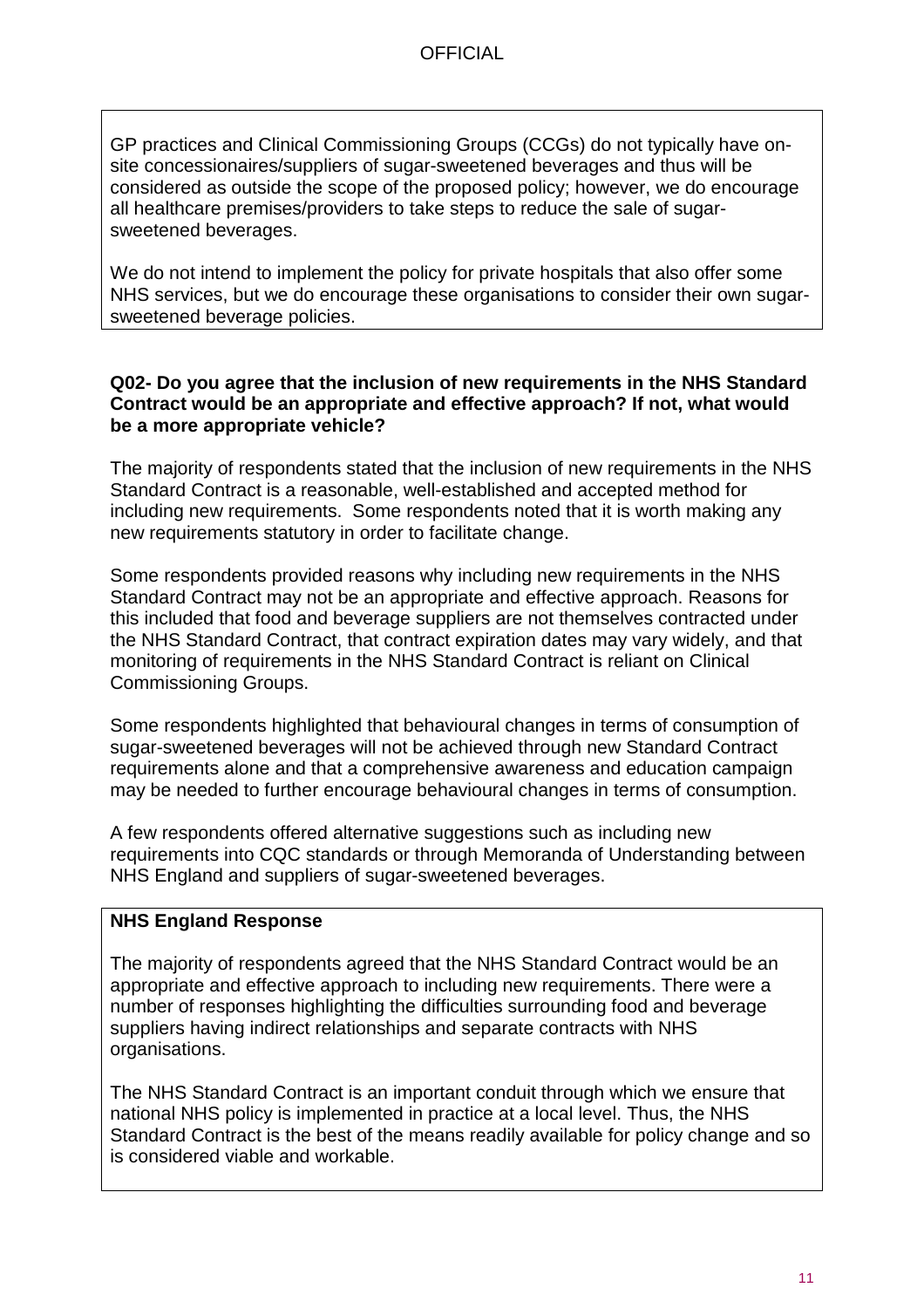GP practices and Clinical Commissioning Groups (CCGs) do not typically have onsite concessionaires/suppliers of sugar-sweetened beverages and thus will be considered as outside the scope of the proposed policy; however, we do encourage all healthcare premises/providers to take steps to reduce the sale of sugarsweetened beverages.

We do not intend to implement the policy for private hospitals that also offer some NHS services, but we do encourage these organisations to consider their own sugarsweetened beverage policies.

#### **Q02- Do you agree that the inclusion of new requirements in the NHS Standard Contract would be an appropriate and effective approach? If not, what would be a more appropriate vehicle?**

The majority of respondents stated that the inclusion of new requirements in the NHS Standard Contract is a reasonable, well-established and accepted method for including new requirements. Some respondents noted that it is worth making any new requirements statutory in order to facilitate change.

Some respondents provided reasons why including new requirements in the NHS Standard Contract may not be an appropriate and effective approach. Reasons for this included that food and beverage suppliers are not themselves contracted under the NHS Standard Contract, that contract expiration dates may vary widely, and that monitoring of requirements in the NHS Standard Contract is reliant on Clinical Commissioning Groups.

Some respondents highlighted that behavioural changes in terms of consumption of sugar-sweetened beverages will not be achieved through new Standard Contract requirements alone and that a comprehensive awareness and education campaign may be needed to further encourage behavioural changes in terms of consumption.

A few respondents offered alternative suggestions such as including new requirements into CQC standards or through Memoranda of Understanding between NHS England and suppliers of sugar-sweetened beverages.

## **NHS England Response**

The majority of respondents agreed that the NHS Standard Contract would be an appropriate and effective approach to including new requirements. There were a number of responses highlighting the difficulties surrounding food and beverage suppliers having indirect relationships and separate contracts with NHS organisations.

The NHS Standard Contract is an important conduit through which we ensure that national NHS policy is implemented in practice at a local level. Thus, the NHS Standard Contract is the best of the means readily available for policy change and so is considered viable and workable.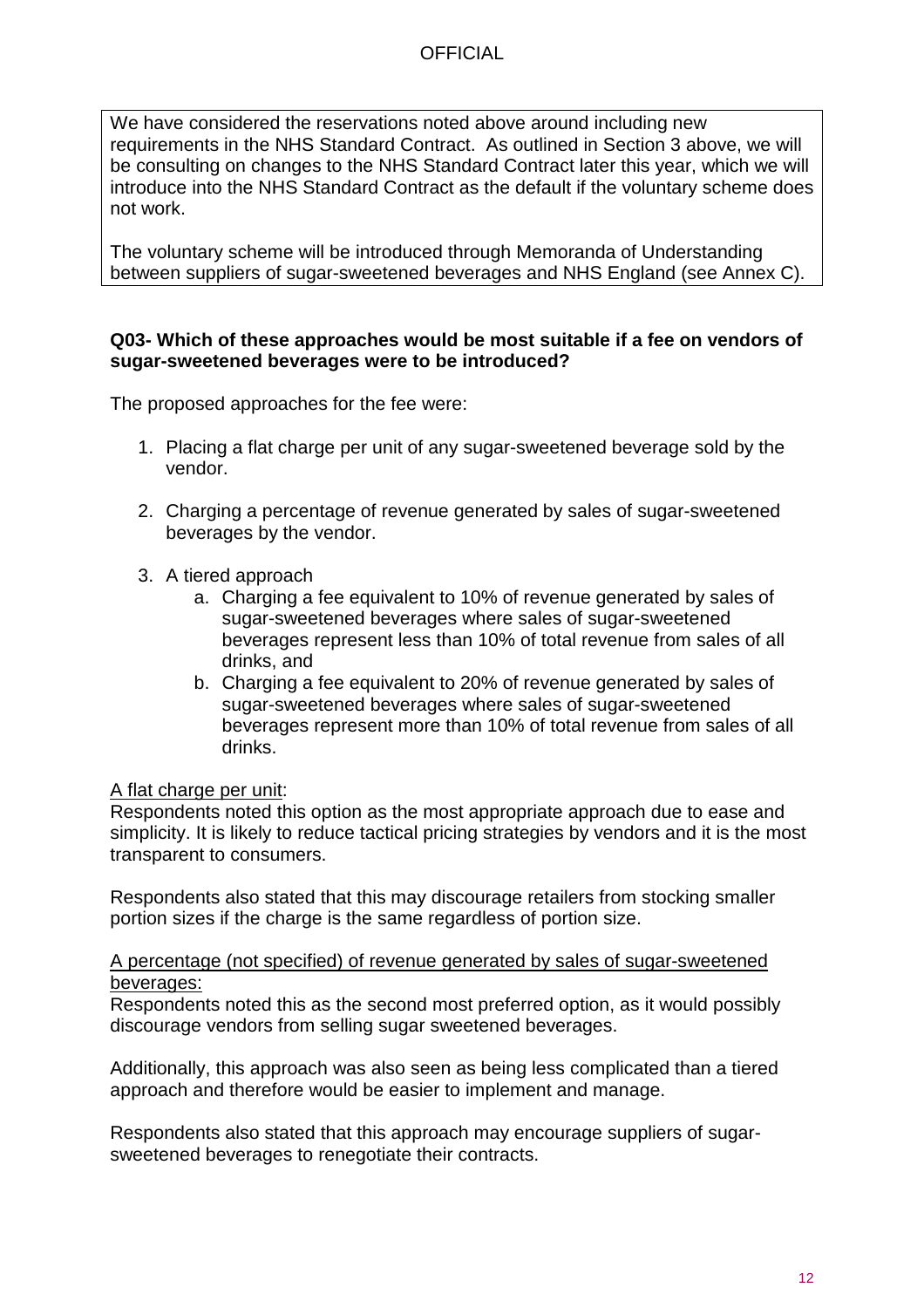We have considered the reservations noted above around including new requirements in the NHS Standard Contract. As outlined in Section 3 above, we will be consulting on changes to the NHS Standard Contract later this year, which we will introduce into the NHS Standard Contract as the default if the voluntary scheme does not work.

The voluntary scheme will be introduced through Memoranda of Understanding between suppliers of sugar-sweetened beverages and NHS England (see Annex C).

#### **Q03- Which of these approaches would be most suitable if a fee on vendors of sugar-sweetened beverages were to be introduced?**

The proposed approaches for the fee were:

- 1. Placing a flat charge per unit of any sugar-sweetened beverage sold by the vendor.
- 2. Charging a percentage of revenue generated by sales of sugar-sweetened beverages by the vendor.
- 3. A tiered approach
	- a. Charging a fee equivalent to 10% of revenue generated by sales of sugar-sweetened beverages where sales of sugar-sweetened beverages represent less than 10% of total revenue from sales of all drinks, and
	- b. Charging a fee equivalent to 20% of revenue generated by sales of sugar-sweetened beverages where sales of sugar-sweetened beverages represent more than 10% of total revenue from sales of all drinks.

## A flat charge per unit:

Respondents noted this option as the most appropriate approach due to ease and simplicity. It is likely to reduce tactical pricing strategies by vendors and it is the most transparent to consumers.

Respondents also stated that this may discourage retailers from stocking smaller portion sizes if the charge is the same regardless of portion size.

A percentage (not specified) of revenue generated by sales of sugar-sweetened beverages:

Respondents noted this as the second most preferred option, as it would possibly discourage vendors from selling sugar sweetened beverages.

Additionally, this approach was also seen as being less complicated than a tiered approach and therefore would be easier to implement and manage.

Respondents also stated that this approach may encourage suppliers of sugarsweetened beverages to renegotiate their contracts.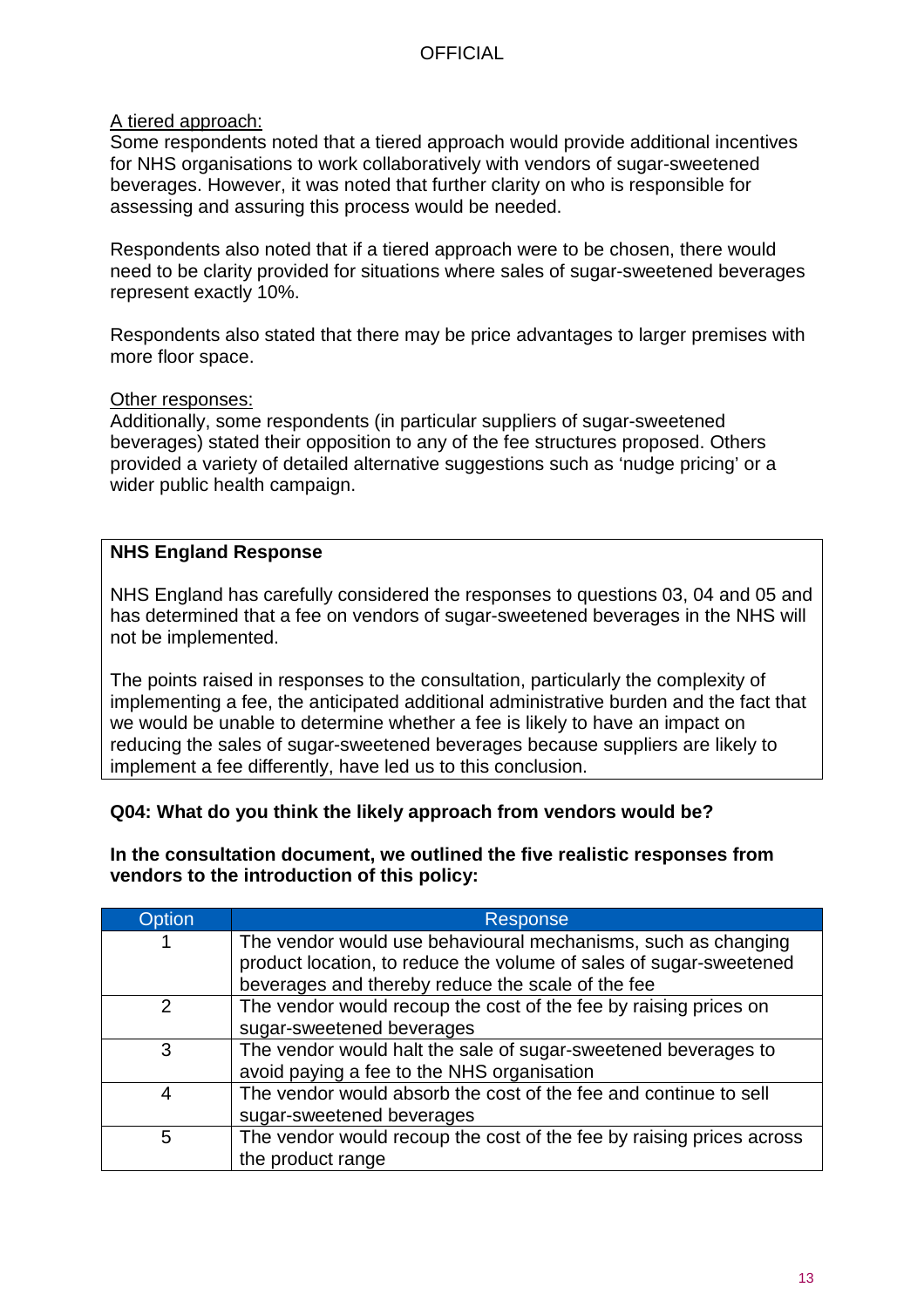## A tiered approach:

Some respondents noted that a tiered approach would provide additional incentives for NHS organisations to work collaboratively with vendors of sugar-sweetened beverages. However, it was noted that further clarity on who is responsible for assessing and assuring this process would be needed.

Respondents also noted that if a tiered approach were to be chosen, there would need to be clarity provided for situations where sales of sugar-sweetened beverages represent exactly 10%.

Respondents also stated that there may be price advantages to larger premises with more floor space.

#### Other responses:

Additionally, some respondents (in particular suppliers of sugar-sweetened beverages) stated their opposition to any of the fee structures proposed. Others provided a variety of detailed alternative suggestions such as 'nudge pricing' or a wider public health campaign.

## **NHS England Response**

NHS England has carefully considered the responses to questions 03, 04 and 05 and has determined that a fee on vendors of sugar-sweetened beverages in the NHS will not be implemented.

The points raised in responses to the consultation, particularly the complexity of implementing a fee, the anticipated additional administrative burden and the fact that we would be unable to determine whether a fee is likely to have an impact on reducing the sales of sugar-sweetened beverages because suppliers are likely to implement a fee differently, have led us to this conclusion.

## **Q04: What do you think the likely approach from vendors would be?**

#### **In the consultation document, we outlined the five realistic responses from vendors to the introduction of this policy:**

| Option         | <b>Response</b>                                                      |
|----------------|----------------------------------------------------------------------|
|                | The vendor would use behavioural mechanisms, such as changing        |
|                | product location, to reduce the volume of sales of sugar-sweetened   |
|                | beverages and thereby reduce the scale of the fee                    |
| $\overline{2}$ | The vendor would recoup the cost of the fee by raising prices on     |
|                | sugar-sweetened beverages                                            |
| 3              | The vendor would halt the sale of sugar-sweetened beverages to       |
|                | avoid paying a fee to the NHS organisation                           |
| 4              | The vendor would absorb the cost of the fee and continue to sell     |
|                | sugar-sweetened beverages                                            |
| 5              | The vendor would recoup the cost of the fee by raising prices across |
|                | the product range                                                    |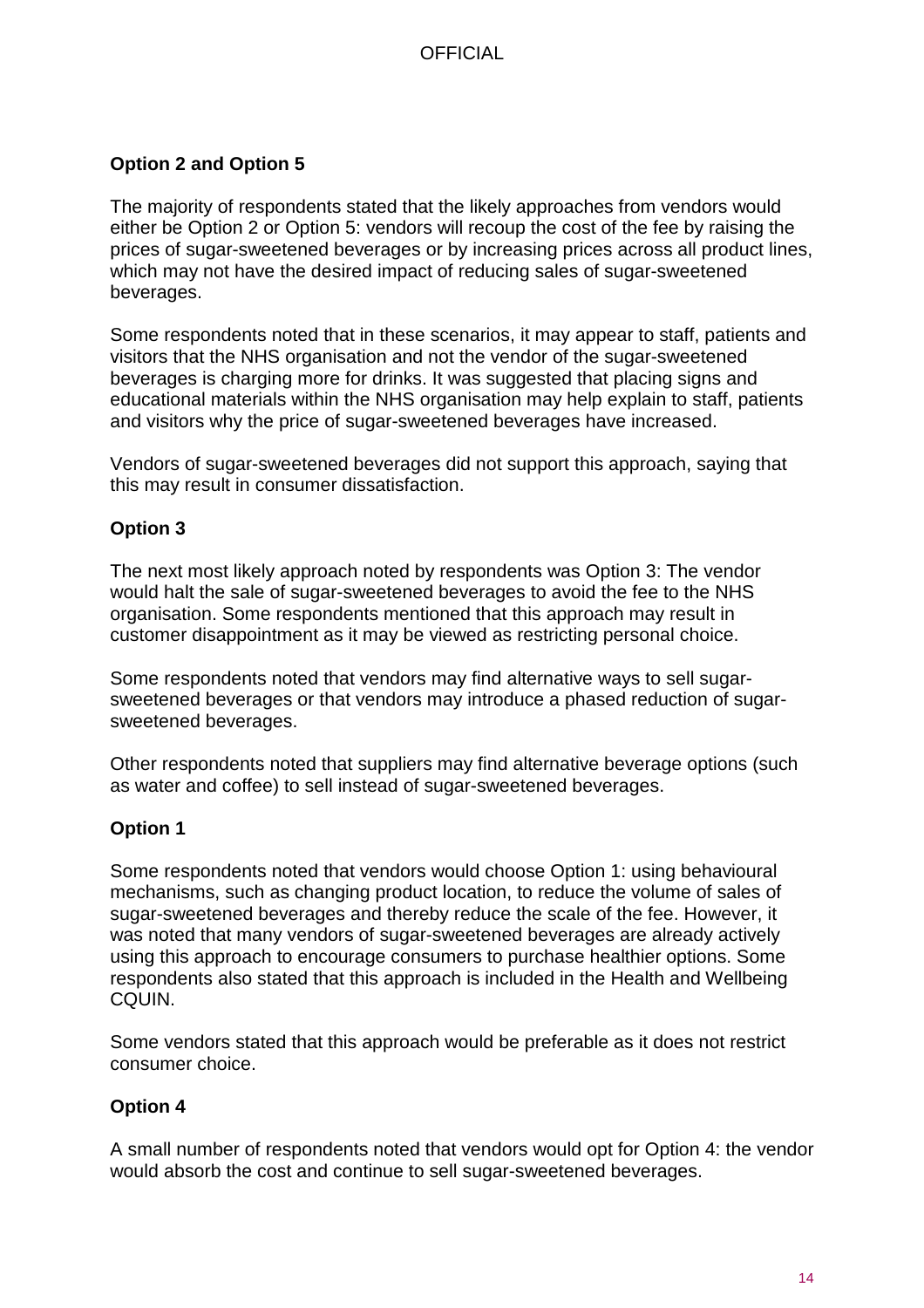## **Option 2 and Option 5**

The majority of respondents stated that the likely approaches from vendors would either be Option 2 or Option 5: vendors will recoup the cost of the fee by raising the prices of sugar-sweetened beverages or by increasing prices across all product lines, which may not have the desired impact of reducing sales of sugar-sweetened beverages.

Some respondents noted that in these scenarios, it may appear to staff, patients and visitors that the NHS organisation and not the vendor of the sugar-sweetened beverages is charging more for drinks. It was suggested that placing signs and educational materials within the NHS organisation may help explain to staff, patients and visitors why the price of sugar-sweetened beverages have increased.

Vendors of sugar-sweetened beverages did not support this approach, saying that this may result in consumer dissatisfaction.

## **Option 3**

The next most likely approach noted by respondents was Option 3: The vendor would halt the sale of sugar-sweetened beverages to avoid the fee to the NHS organisation. Some respondents mentioned that this approach may result in customer disappointment as it may be viewed as restricting personal choice.

Some respondents noted that vendors may find alternative ways to sell sugarsweetened beverages or that vendors may introduce a phased reduction of sugarsweetened beverages.

Other respondents noted that suppliers may find alternative beverage options (such as water and coffee) to sell instead of sugar-sweetened beverages.

## **Option 1**

Some respondents noted that vendors would choose Option 1: using behavioural mechanisms, such as changing product location, to reduce the volume of sales of sugar-sweetened beverages and thereby reduce the scale of the fee. However, it was noted that many vendors of sugar-sweetened beverages are already actively using this approach to encourage consumers to purchase healthier options. Some respondents also stated that this approach is included in the Health and Wellbeing CQUIN.

Some vendors stated that this approach would be preferable as it does not restrict consumer choice.

## **Option 4**

A small number of respondents noted that vendors would opt for Option 4: the vendor would absorb the cost and continue to sell sugar-sweetened beverages.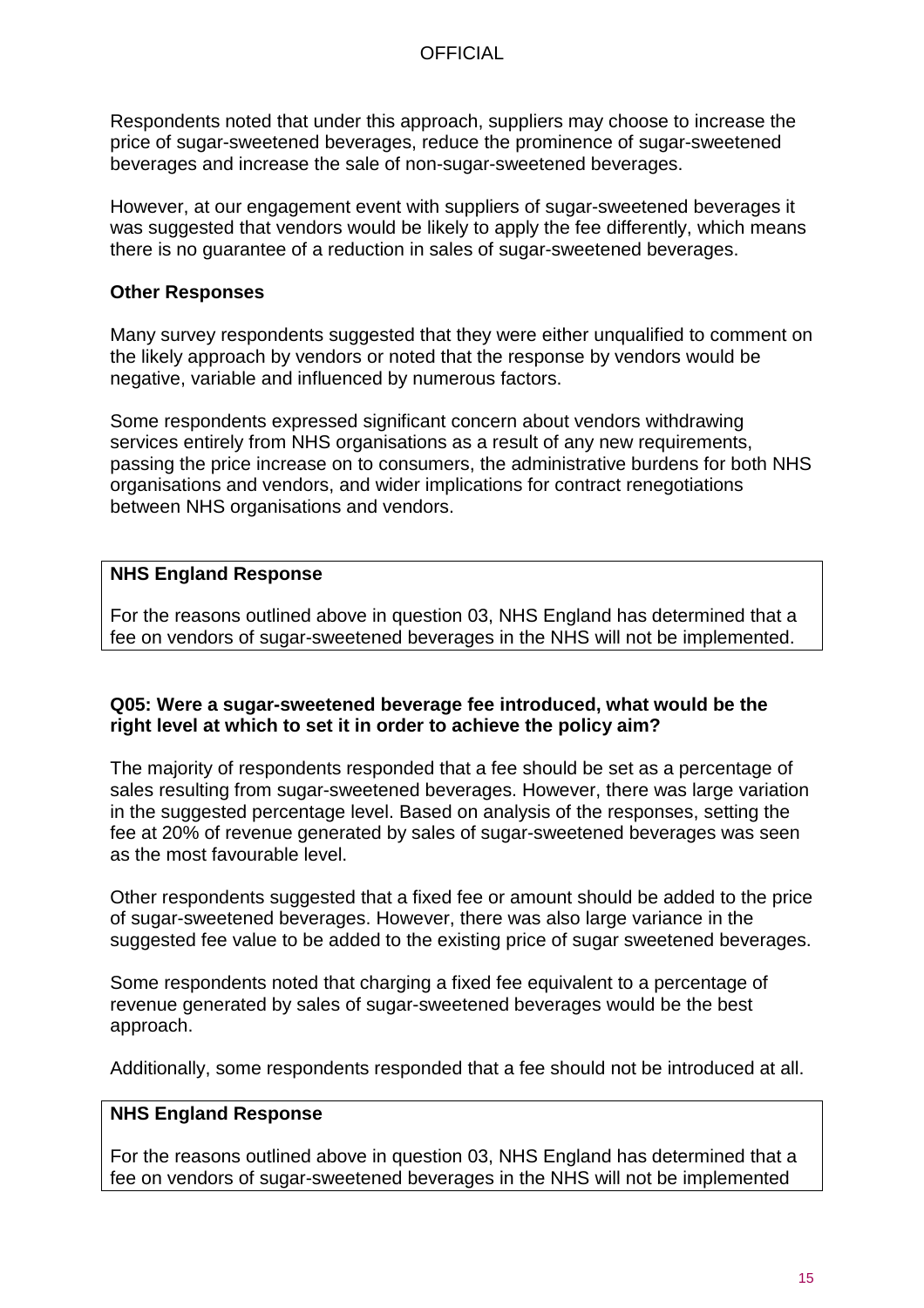Respondents noted that under this approach, suppliers may choose to increase the price of sugar-sweetened beverages, reduce the prominence of sugar-sweetened beverages and increase the sale of non-sugar-sweetened beverages.

However, at our engagement event with suppliers of sugar-sweetened beverages it was suggested that vendors would be likely to apply the fee differently, which means there is no guarantee of a reduction in sales of sugar-sweetened beverages.

#### **Other Responses**

Many survey respondents suggested that they were either unqualified to comment on the likely approach by vendors or noted that the response by vendors would be negative, variable and influenced by numerous factors.

Some respondents expressed significant concern about vendors withdrawing services entirely from NHS organisations as a result of any new requirements, passing the price increase on to consumers, the administrative burdens for both NHS organisations and vendors, and wider implications for contract renegotiations between NHS organisations and vendors.

## **NHS England Response**

For the reasons outlined above in question 03, NHS England has determined that a fee on vendors of sugar-sweetened beverages in the NHS will not be implemented.

#### **Q05: Were a sugar-sweetened beverage fee introduced, what would be the right level at which to set it in order to achieve the policy aim?**

The majority of respondents responded that a fee should be set as a percentage of sales resulting from sugar-sweetened beverages. However, there was large variation in the suggested percentage level. Based on analysis of the responses, setting the fee at 20% of revenue generated by sales of sugar-sweetened beverages was seen as the most favourable level.

Other respondents suggested that a fixed fee or amount should be added to the price of sugar-sweetened beverages. However, there was also large variance in the suggested fee value to be added to the existing price of sugar sweetened beverages.

Some respondents noted that charging a fixed fee equivalent to a percentage of revenue generated by sales of sugar-sweetened beverages would be the best approach.

Additionally, some respondents responded that a fee should not be introduced at all.

## **NHS England Response**

For the reasons outlined above in question 03, NHS England has determined that a fee on vendors of sugar-sweetened beverages in the NHS will not be implemented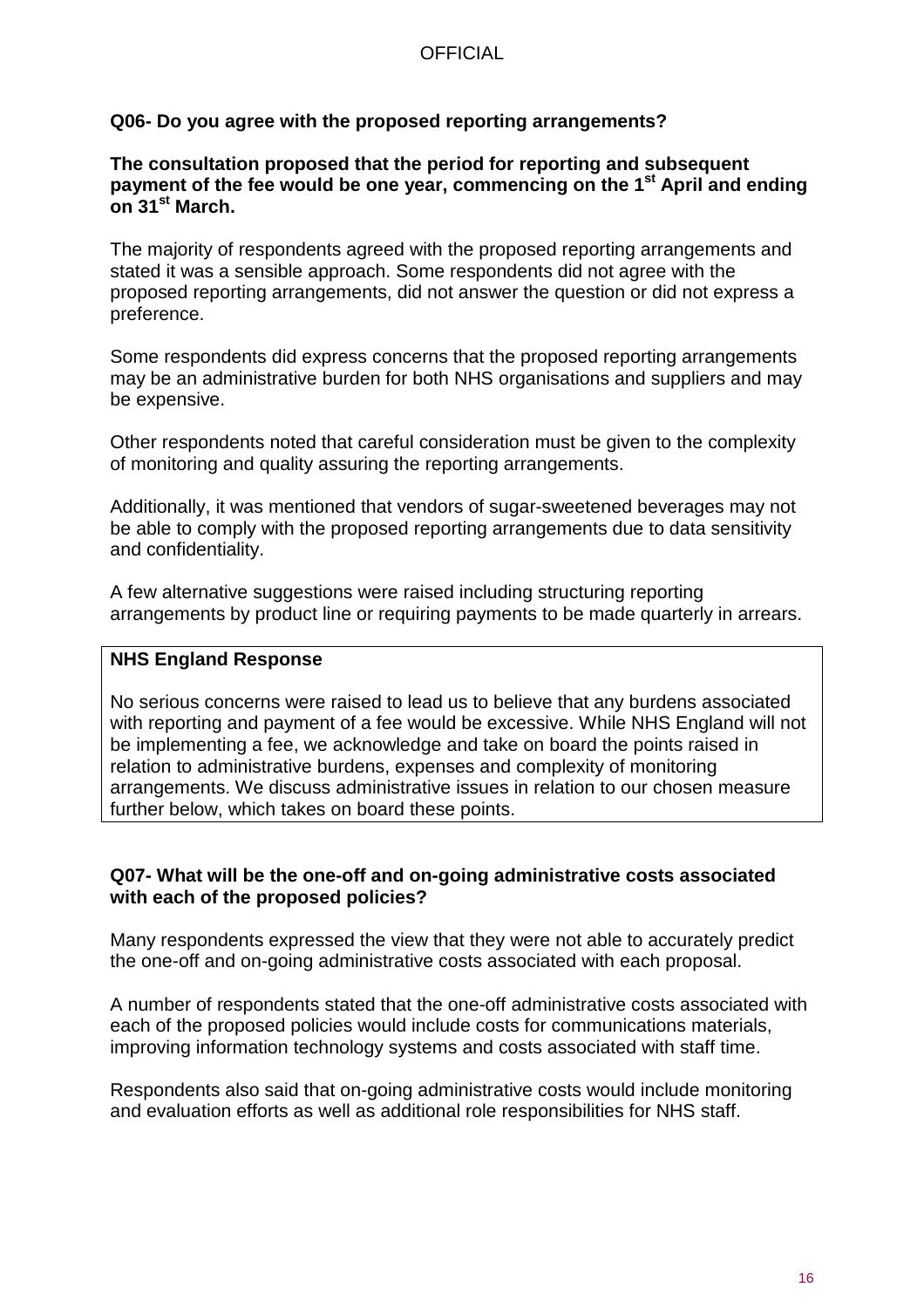#### **Q06- Do you agree with the proposed reporting arrangements?**

#### **The consultation proposed that the period for reporting and subsequent payment of the fee would be one year, commencing on the 1st April and ending on 31st March.**

The majority of respondents agreed with the proposed reporting arrangements and stated it was a sensible approach. Some respondents did not agree with the proposed reporting arrangements, did not answer the question or did not express a preference.

Some respondents did express concerns that the proposed reporting arrangements may be an administrative burden for both NHS organisations and suppliers and may be expensive.

Other respondents noted that careful consideration must be given to the complexity of monitoring and quality assuring the reporting arrangements.

Additionally, it was mentioned that vendors of sugar-sweetened beverages may not be able to comply with the proposed reporting arrangements due to data sensitivity and confidentiality.

A few alternative suggestions were raised including structuring reporting arrangements by product line or requiring payments to be made quarterly in arrears.

#### **NHS England Response**

No serious concerns were raised to lead us to believe that any burdens associated with reporting and payment of a fee would be excessive. While NHS England will not be implementing a fee, we acknowledge and take on board the points raised in relation to administrative burdens, expenses and complexity of monitoring arrangements. We discuss administrative issues in relation to our chosen measure further below, which takes on board these points.

#### **Q07- What will be the one-off and on-going administrative costs associated with each of the proposed policies?**

Many respondents expressed the view that they were not able to accurately predict the one-off and on-going administrative costs associated with each proposal.

A number of respondents stated that the one-off administrative costs associated with each of the proposed policies would include costs for communications materials, improving information technology systems and costs associated with staff time.

Respondents also said that on-going administrative costs would include monitoring and evaluation efforts as well as additional role responsibilities for NHS staff.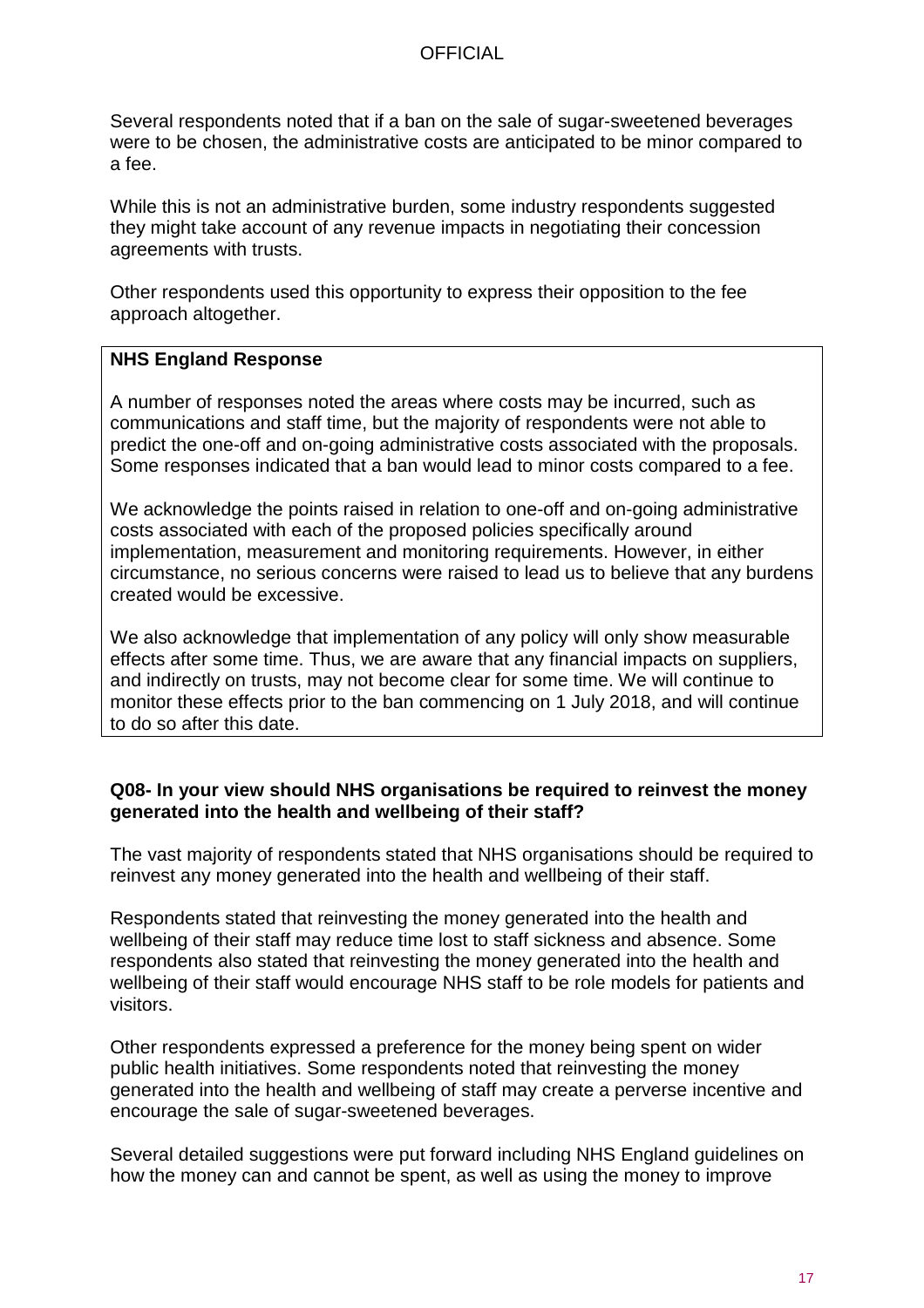Several respondents noted that if a ban on the sale of sugar-sweetened beverages were to be chosen, the administrative costs are anticipated to be minor compared to a fee.

While this is not an administrative burden, some industry respondents suggested they might take account of any revenue impacts in negotiating their concession agreements with trusts.

Other respondents used this opportunity to express their opposition to the fee approach altogether.

## **NHS England Response**

A number of responses noted the areas where costs may be incurred, such as communications and staff time, but the majority of respondents were not able to predict the one-off and on-going administrative costs associated with the proposals. Some responses indicated that a ban would lead to minor costs compared to a fee.

We acknowledge the points raised in relation to one-off and on-going administrative costs associated with each of the proposed policies specifically around implementation, measurement and monitoring requirements. However, in either circumstance, no serious concerns were raised to lead us to believe that any burdens created would be excessive.

We also acknowledge that implementation of any policy will only show measurable effects after some time. Thus, we are aware that any financial impacts on suppliers, and indirectly on trusts, may not become clear for some time. We will continue to monitor these effects prior to the ban commencing on 1 July 2018, and will continue to do so after this date.

#### **Q08- In your view should NHS organisations be required to reinvest the money generated into the health and wellbeing of their staff?**

The vast majority of respondents stated that NHS organisations should be required to reinvest any money generated into the health and wellbeing of their staff.

Respondents stated that reinvesting the money generated into the health and wellbeing of their staff may reduce time lost to staff sickness and absence. Some respondents also stated that reinvesting the money generated into the health and wellbeing of their staff would encourage NHS staff to be role models for patients and visitors.

Other respondents expressed a preference for the money being spent on wider public health initiatives. Some respondents noted that reinvesting the money generated into the health and wellbeing of staff may create a perverse incentive and encourage the sale of sugar-sweetened beverages.

Several detailed suggestions were put forward including NHS England guidelines on how the money can and cannot be spent, as well as using the money to improve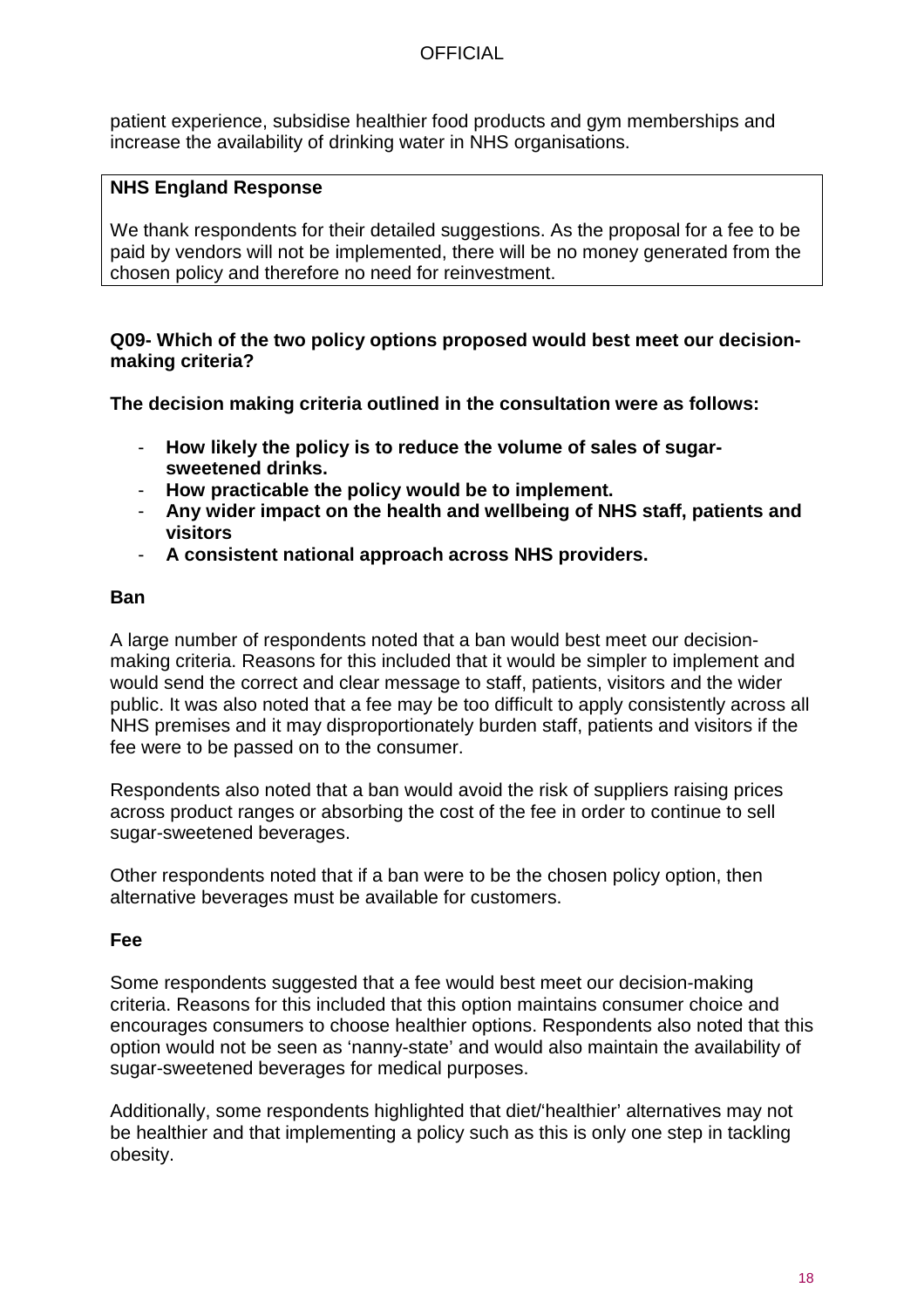patient experience, subsidise healthier food products and gym memberships and increase the availability of drinking water in NHS organisations.

## **NHS England Response**

We thank respondents for their detailed suggestions. As the proposal for a fee to be paid by vendors will not be implemented, there will be no money generated from the chosen policy and therefore no need for reinvestment.

### **Q09- Which of the two policy options proposed would best meet our decisionmaking criteria?**

**The decision making criteria outlined in the consultation were as follows:**

- **How likely the policy is to reduce the volume of sales of sugarsweetened drinks.**
- **How practicable the policy would be to implement.**
- **Any wider impact on the health and wellbeing of NHS staff, patients and visitors**
- **A consistent national approach across NHS providers.**

#### **Ban**

A large number of respondents noted that a ban would best meet our decisionmaking criteria. Reasons for this included that it would be simpler to implement and would send the correct and clear message to staff, patients, visitors and the wider public. It was also noted that a fee may be too difficult to apply consistently across all NHS premises and it may disproportionately burden staff, patients and visitors if the fee were to be passed on to the consumer.

Respondents also noted that a ban would avoid the risk of suppliers raising prices across product ranges or absorbing the cost of the fee in order to continue to sell sugar-sweetened beverages.

Other respondents noted that if a ban were to be the chosen policy option, then alternative beverages must be available for customers.

## **Fee**

Some respondents suggested that a fee would best meet our decision-making criteria. Reasons for this included that this option maintains consumer choice and encourages consumers to choose healthier options. Respondents also noted that this option would not be seen as 'nanny-state' and would also maintain the availability of sugar-sweetened beverages for medical purposes.

Additionally, some respondents highlighted that diet/'healthier' alternatives may not be healthier and that implementing a policy such as this is only one step in tackling obesity.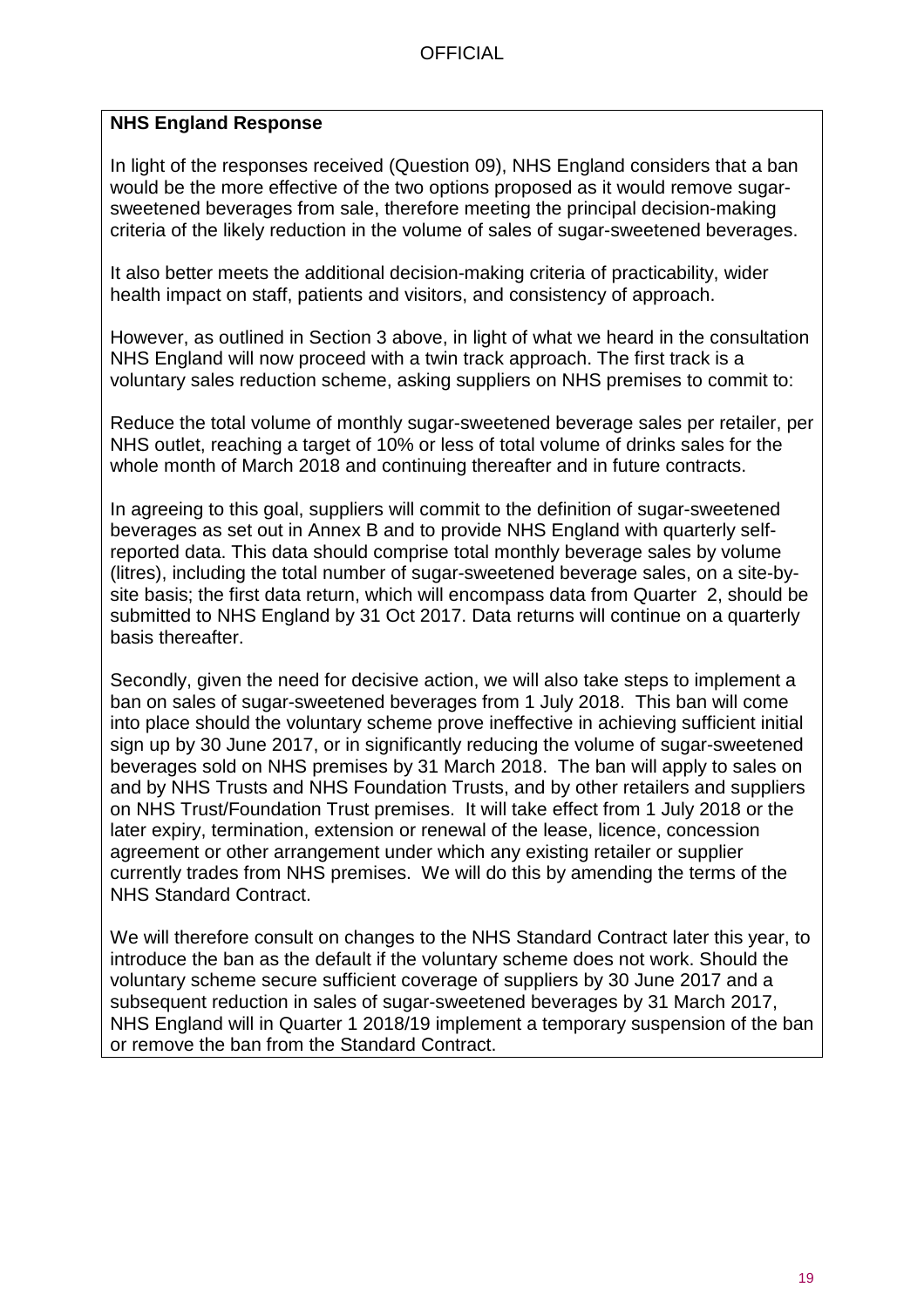## **NHS England Response**

In light of the responses received (Question 09), NHS England considers that a ban would be the more effective of the two options proposed as it would remove sugarsweetened beverages from sale, therefore meeting the principal decision-making criteria of the likely reduction in the volume of sales of sugar-sweetened beverages.

It also better meets the additional decision-making criteria of practicability, wider health impact on staff, patients and visitors, and consistency of approach.

However, as outlined in Section 3 above, in light of what we heard in the consultation NHS England will now proceed with a twin track approach. The first track is a voluntary sales reduction scheme, asking suppliers on NHS premises to commit to:

Reduce the total volume of monthly sugar-sweetened beverage sales per retailer, per NHS outlet, reaching a target of 10% or less of total volume of drinks sales for the whole month of March 2018 and continuing thereafter and in future contracts.

In agreeing to this goal, suppliers will commit to the definition of sugar-sweetened beverages as set out in Annex B and to provide NHS England with quarterly selfreported data. This data should comprise total monthly beverage sales by volume (litres), including the total number of sugar-sweetened beverage sales, on a site-bysite basis; the first data return, which will encompass data from Quarter 2, should be submitted to NHS England by 31 Oct 2017. Data returns will continue on a quarterly basis thereafter.

Secondly, given the need for decisive action, we will also take steps to implement a ban on sales of sugar-sweetened beverages from 1 July 2018. This ban will come into place should the voluntary scheme prove ineffective in achieving sufficient initial sign up by 30 June 2017, or in significantly reducing the volume of sugar-sweetened beverages sold on NHS premises by 31 March 2018. The ban will apply to sales on and by NHS Trusts and NHS Foundation Trusts, and by other retailers and suppliers on NHS Trust/Foundation Trust premises. It will take effect from 1 July 2018 or the later expiry, termination, extension or renewal of the lease, licence, concession agreement or other arrangement under which any existing retailer or supplier currently trades from NHS premises. We will do this by amending the terms of the NHS Standard Contract.

We will therefore consult on changes to the NHS Standard Contract later this year, to introduce the ban as the default if the voluntary scheme does not work. Should the voluntary scheme secure sufficient coverage of suppliers by 30 June 2017 and a subsequent reduction in sales of sugar-sweetened beverages by 31 March 2017, NHS England will in Quarter 1 2018/19 implement a temporary suspension of the ban or remove the ban from the Standard Contract.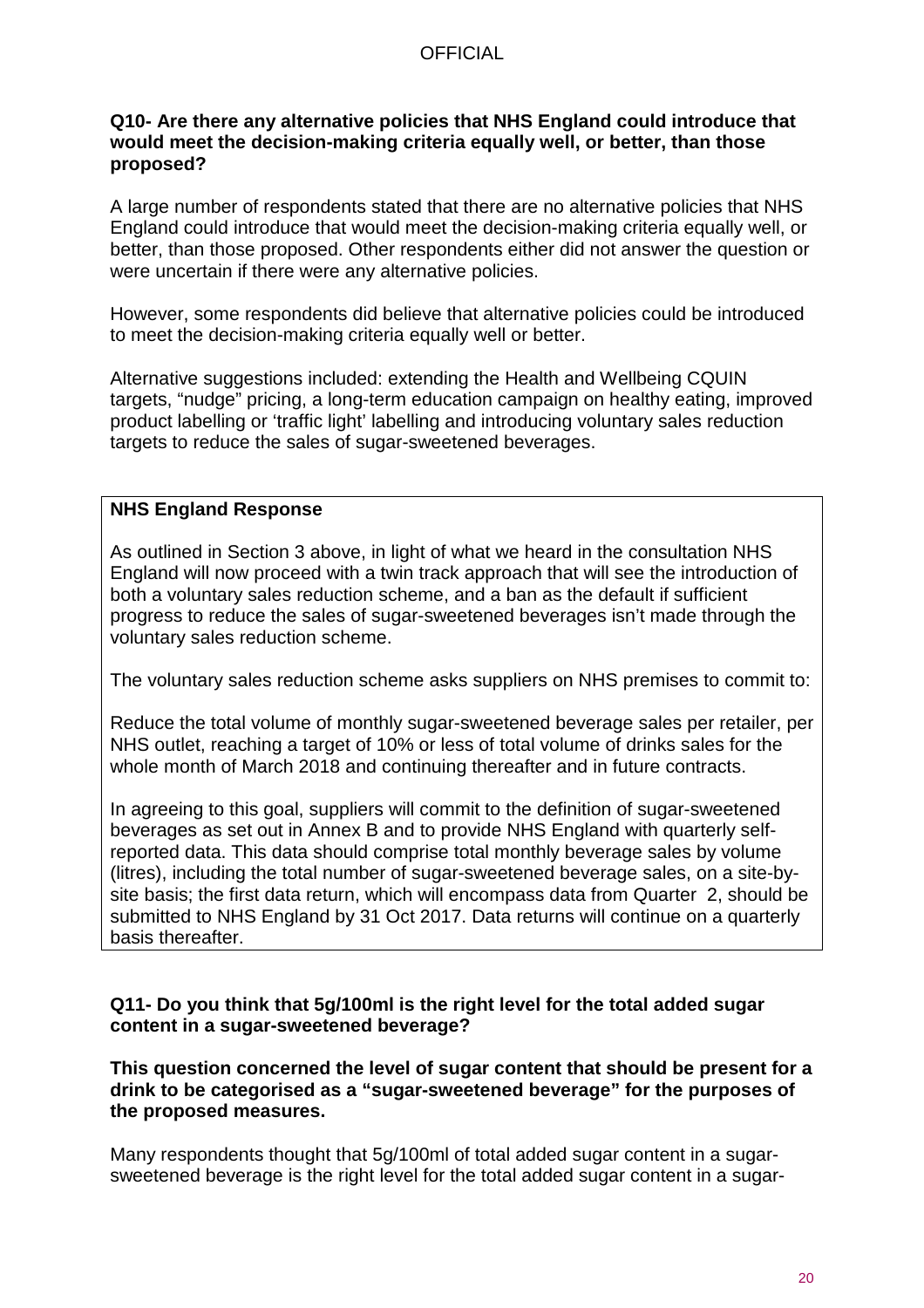#### **Q10- Are there any alternative policies that NHS England could introduce that would meet the decision-making criteria equally well, or better, than those proposed?**

A large number of respondents stated that there are no alternative policies that NHS England could introduce that would meet the decision-making criteria equally well, or better, than those proposed. Other respondents either did not answer the question or were uncertain if there were any alternative policies.

However, some respondents did believe that alternative policies could be introduced to meet the decision-making criteria equally well or better.

Alternative suggestions included: extending the Health and Wellbeing CQUIN targets, "nudge" pricing, a long-term education campaign on healthy eating, improved product labelling or 'traffic light' labelling and introducing voluntary sales reduction targets to reduce the sales of sugar-sweetened beverages.

#### **NHS England Response**

As outlined in Section 3 above, in light of what we heard in the consultation NHS England will now proceed with a twin track approach that will see the introduction of both a voluntary sales reduction scheme, and a ban as the default if sufficient progress to reduce the sales of sugar-sweetened beverages isn't made through the voluntary sales reduction scheme.

The voluntary sales reduction scheme asks suppliers on NHS premises to commit to:

Reduce the total volume of monthly sugar-sweetened beverage sales per retailer, per NHS outlet, reaching a target of 10% or less of total volume of drinks sales for the whole month of March 2018 and continuing thereafter and in future contracts.

In agreeing to this goal, suppliers will commit to the definition of sugar-sweetened beverages as set out in Annex B and to provide NHS England with quarterly selfreported data. This data should comprise total monthly beverage sales by volume (litres), including the total number of sugar-sweetened beverage sales, on a site-bysite basis; the first data return, which will encompass data from Quarter 2, should be submitted to NHS England by 31 Oct 2017. Data returns will continue on a quarterly basis thereafter.

#### **Q11- Do you think that 5g/100ml is the right level for the total added sugar content in a sugar-sweetened beverage?**

**This question concerned the level of sugar content that should be present for a drink to be categorised as a "sugar-sweetened beverage" for the purposes of the proposed measures.**

Many respondents thought that 5g/100ml of total added sugar content in a sugarsweetened beverage is the right level for the total added sugar content in a sugar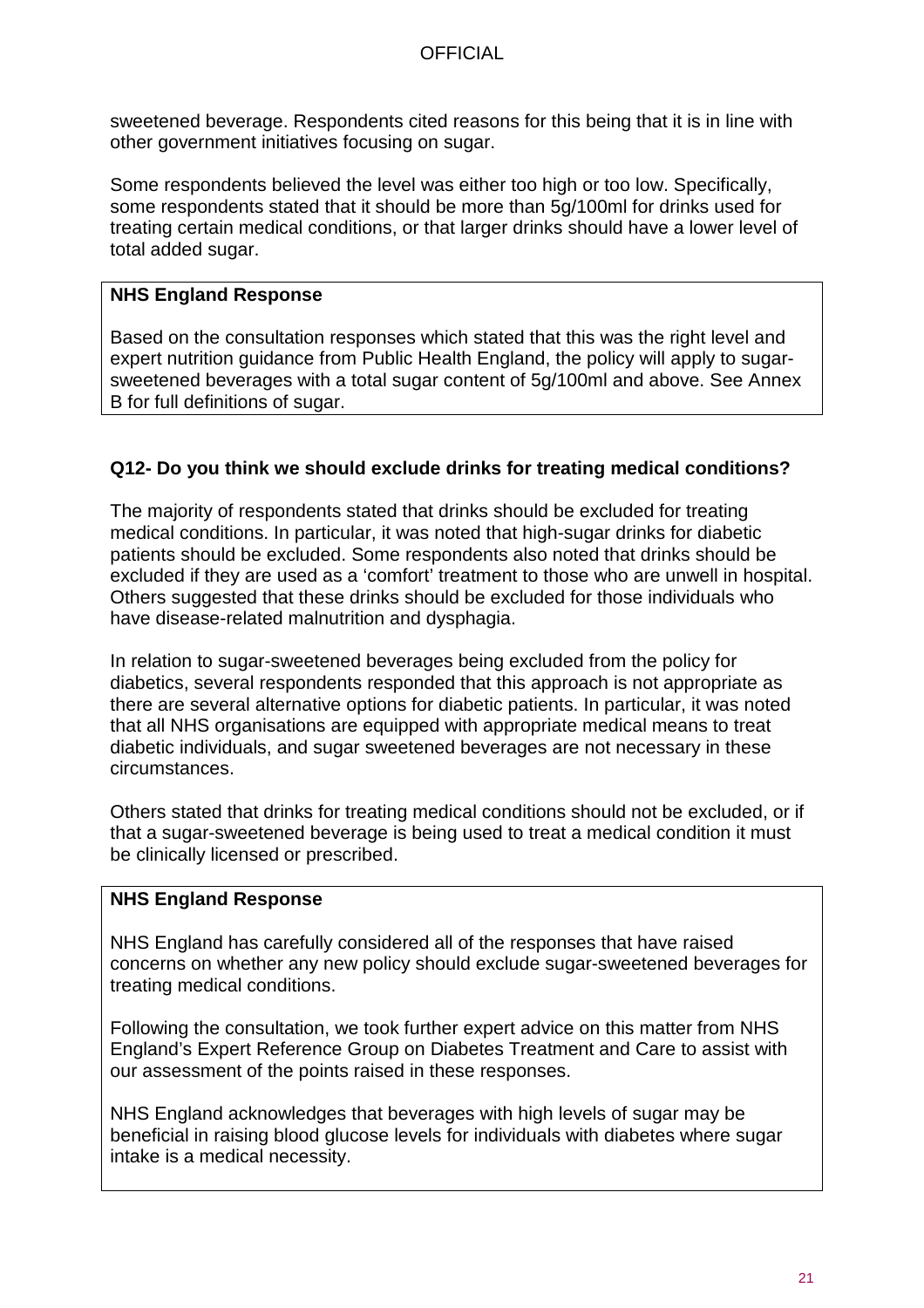sweetened beverage. Respondents cited reasons for this being that it is in line with other government initiatives focusing on sugar.

Some respondents believed the level was either too high or too low. Specifically, some respondents stated that it should be more than 5g/100ml for drinks used for treating certain medical conditions, or that larger drinks should have a lower level of total added sugar.

## **NHS England Response**

Based on the consultation responses which stated that this was the right level and expert nutrition guidance from Public Health England, the policy will apply to sugarsweetened beverages with a total sugar content of 5g/100ml and above. See Annex B for full definitions of sugar.

## **Q12- Do you think we should exclude drinks for treating medical conditions?**

The majority of respondents stated that drinks should be excluded for treating medical conditions. In particular, it was noted that high-sugar drinks for diabetic patients should be excluded. Some respondents also noted that drinks should be excluded if they are used as a 'comfort' treatment to those who are unwell in hospital. Others suggested that these drinks should be excluded for those individuals who have disease-related malnutrition and dysphagia.

In relation to sugar-sweetened beverages being excluded from the policy for diabetics, several respondents responded that this approach is not appropriate as there are several alternative options for diabetic patients. In particular, it was noted that all NHS organisations are equipped with appropriate medical means to treat diabetic individuals, and sugar sweetened beverages are not necessary in these circumstances.

Others stated that drinks for treating medical conditions should not be excluded, or if that a sugar-sweetened beverage is being used to treat a medical condition it must be clinically licensed or prescribed.

## **NHS England Response**

NHS England has carefully considered all of the responses that have raised concerns on whether any new policy should exclude sugar-sweetened beverages for treating medical conditions.

Following the consultation, we took further expert advice on this matter from NHS England's Expert Reference Group on Diabetes Treatment and Care to assist with our assessment of the points raised in these responses.

NHS England acknowledges that beverages with high levels of sugar may be beneficial in raising blood glucose levels for individuals with diabetes where sugar intake is a medical necessity.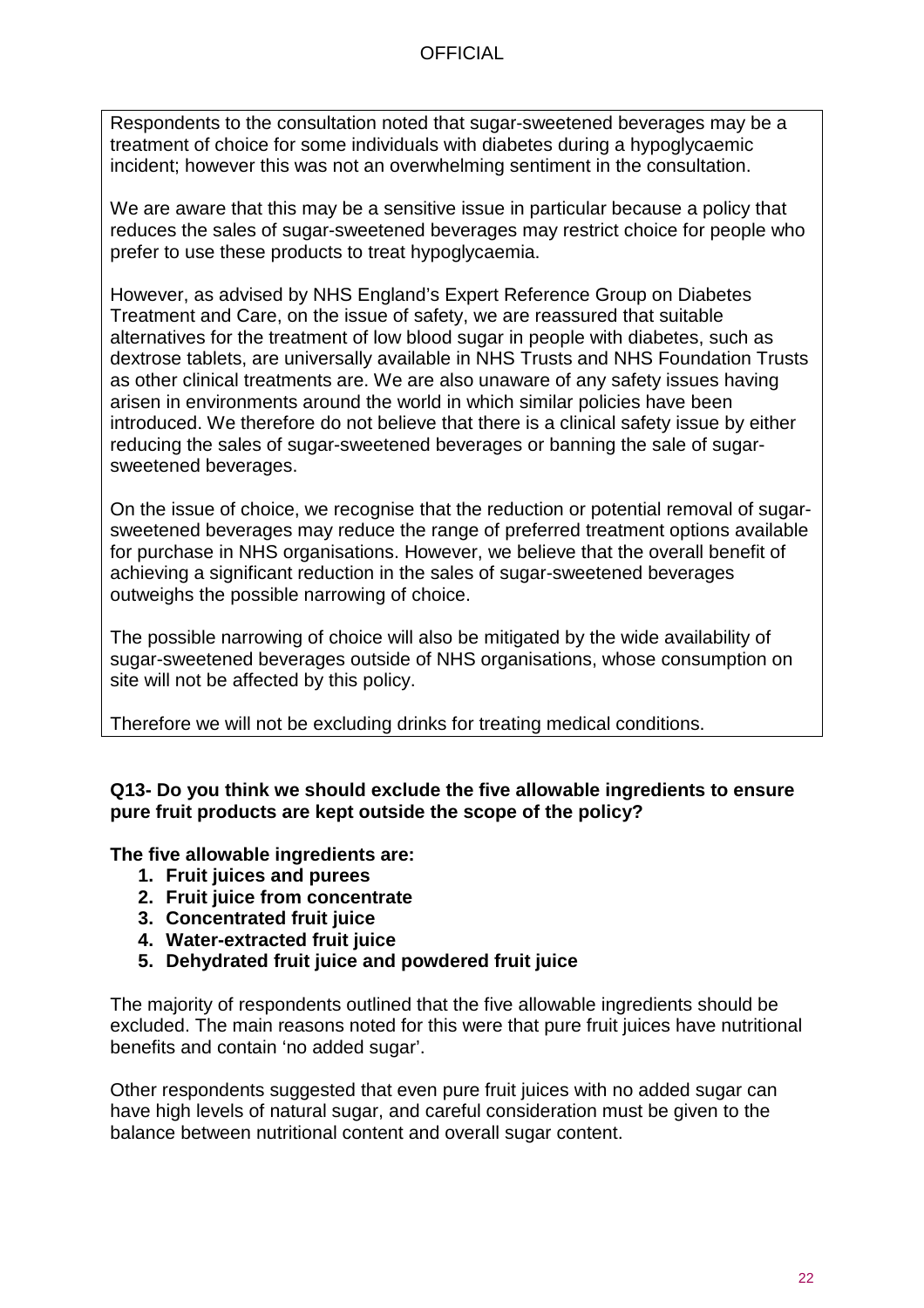Respondents to the consultation noted that sugar-sweetened beverages may be a treatment of choice for some individuals with diabetes during a hypoglycaemic incident; however this was not an overwhelming sentiment in the consultation.

We are aware that this may be a sensitive issue in particular because a policy that reduces the sales of sugar-sweetened beverages may restrict choice for people who prefer to use these products to treat hypoglycaemia.

However, as advised by NHS England's Expert Reference Group on Diabetes Treatment and Care, on the issue of safety, we are reassured that suitable alternatives for the treatment of low blood sugar in people with diabetes, such as dextrose tablets, are universally available in NHS Trusts and NHS Foundation Trusts as other clinical treatments are. We are also unaware of any safety issues having arisen in environments around the world in which similar policies have been introduced. We therefore do not believe that there is a clinical safety issue by either reducing the sales of sugar-sweetened beverages or banning the sale of sugarsweetened beverages.

On the issue of choice, we recognise that the reduction or potential removal of sugarsweetened beverages may reduce the range of preferred treatment options available for purchase in NHS organisations. However, we believe that the overall benefit of achieving a significant reduction in the sales of sugar-sweetened beverages outweighs the possible narrowing of choice.

The possible narrowing of choice will also be mitigated by the wide availability of sugar-sweetened beverages outside of NHS organisations, whose consumption on site will not be affected by this policy.

Therefore we will not be excluding drinks for treating medical conditions.

#### **Q13- Do you think we should exclude the five allowable ingredients to ensure pure fruit products are kept outside the scope of the policy?**

**The five allowable ingredients are:**

- **1. Fruit juices and purees**
- **2. Fruit juice from concentrate**
- **3. Concentrated fruit juice**
- **4. Water-extracted fruit juice**
- **5. Dehydrated fruit juice and powdered fruit juice**

The majority of respondents outlined that the five allowable ingredients should be excluded. The main reasons noted for this were that pure fruit juices have nutritional benefits and contain 'no added sugar'.

Other respondents suggested that even pure fruit juices with no added sugar can have high levels of natural sugar, and careful consideration must be given to the balance between nutritional content and overall sugar content.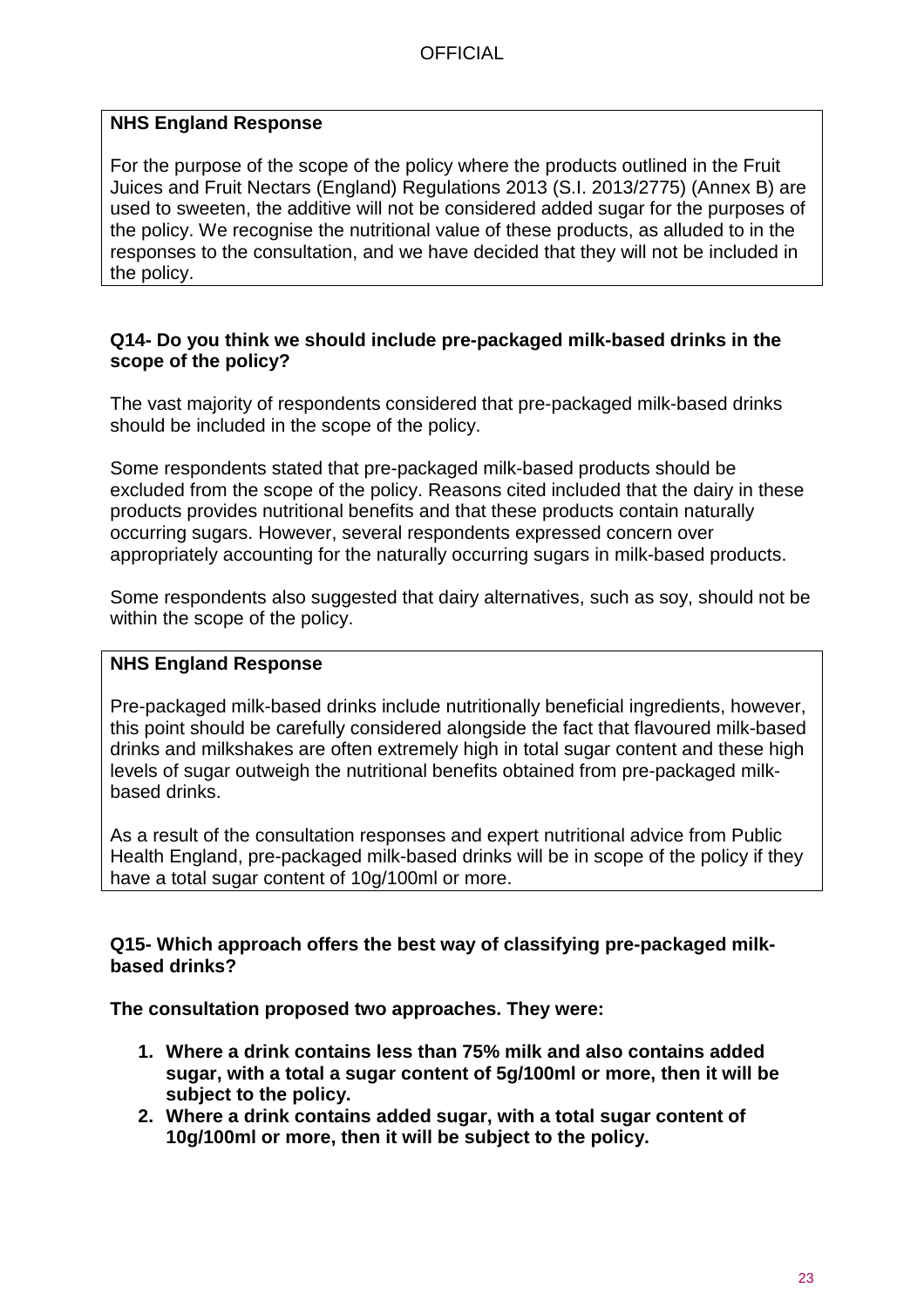## **NHS England Response**

For the purpose of the scope of the policy where the products outlined in the Fruit Juices and Fruit Nectars (England) Regulations 2013 (S.I. 2013/2775) (Annex B) are used to sweeten, the additive will not be considered added sugar for the purposes of the policy. We recognise the nutritional value of these products, as alluded to in the responses to the consultation, and we have decided that they will not be included in the policy.

#### **Q14- Do you think we should include pre-packaged milk-based drinks in the scope of the policy?**

The vast majority of respondents considered that pre-packaged milk-based drinks should be included in the scope of the policy.

Some respondents stated that pre-packaged milk-based products should be excluded from the scope of the policy. Reasons cited included that the dairy in these products provides nutritional benefits and that these products contain naturally occurring sugars. However, several respondents expressed concern over appropriately accounting for the naturally occurring sugars in milk-based products.

Some respondents also suggested that dairy alternatives, such as soy, should not be within the scope of the policy.

### **NHS England Response**

Pre-packaged milk-based drinks include nutritionally beneficial ingredients, however, this point should be carefully considered alongside the fact that flavoured milk-based drinks and milkshakes are often extremely high in total sugar content and these high levels of sugar outweigh the nutritional benefits obtained from pre-packaged milkbased drinks.

As a result of the consultation responses and expert nutritional advice from Public Health England, pre-packaged milk-based drinks will be in scope of the policy if they have a total sugar content of 10g/100ml or more.

#### **Q15- Which approach offers the best way of classifying pre-packaged milkbased drinks?**

**The consultation proposed two approaches. They were:**

- **1. Where a drink contains less than 75% milk and also contains added sugar, with a total a sugar content of 5g/100ml or more, then it will be subject to the policy.**
- **2. Where a drink contains added sugar, with a total sugar content of 10g/100ml or more, then it will be subject to the policy.**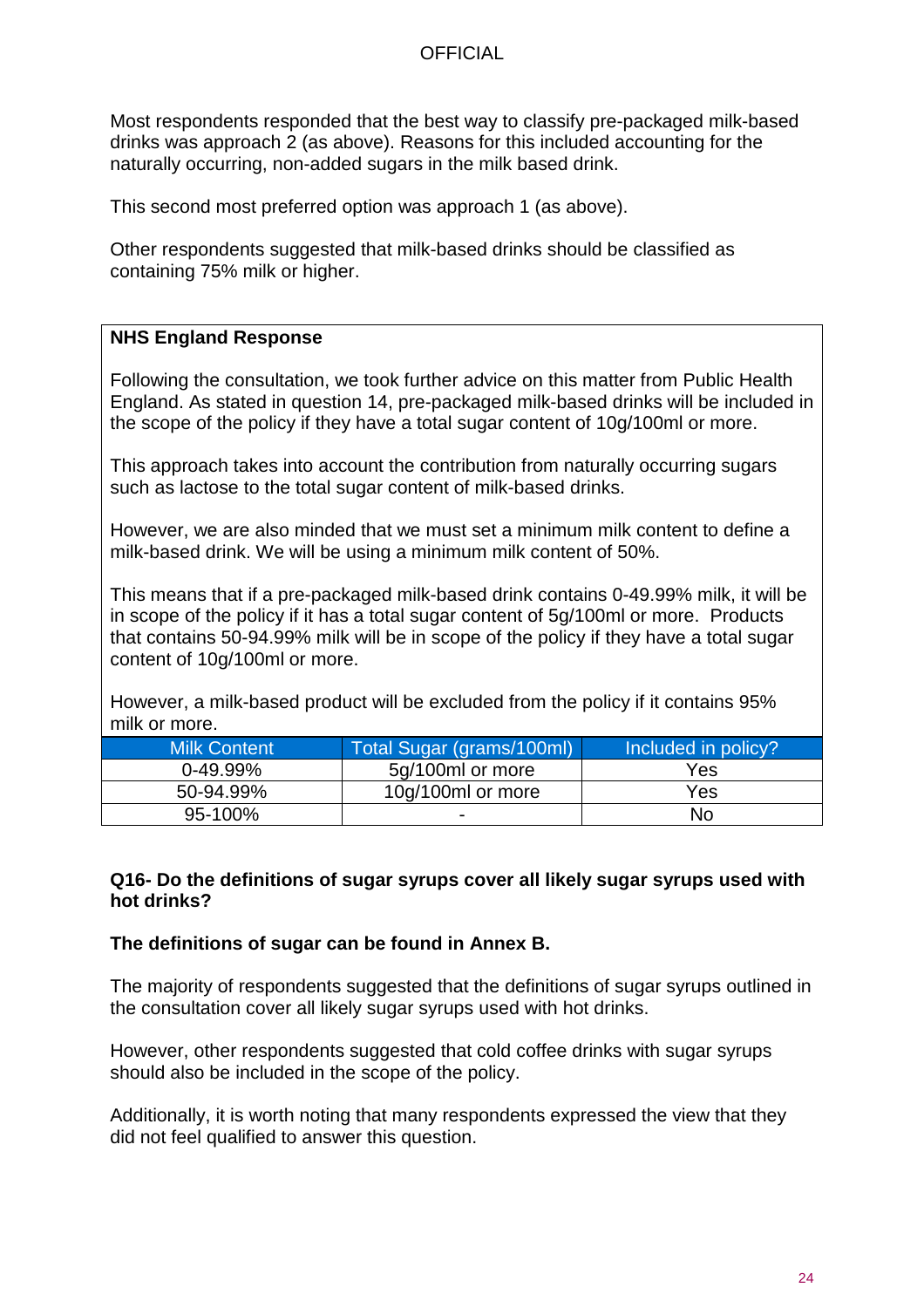Most respondents responded that the best way to classify pre-packaged milk-based drinks was approach 2 (as above). Reasons for this included accounting for the naturally occurring, non-added sugars in the milk based drink.

This second most preferred option was approach 1 (as above).

Other respondents suggested that milk-based drinks should be classified as containing 75% milk or higher.

#### **NHS England Response**

Following the consultation, we took further advice on this matter from Public Health England. As stated in question 14, pre-packaged milk-based drinks will be included in the scope of the policy if they have a total sugar content of 10g/100ml or more.

This approach takes into account the contribution from naturally occurring sugars such as lactose to the total sugar content of milk-based drinks.

However, we are also minded that we must set a minimum milk content to define a milk-based drink. We will be using a minimum milk content of 50%.

This means that if a pre-packaged milk-based drink contains 0-49.99% milk, it will be in scope of the policy if it has a total sugar content of 5g/100ml or more. Products that contains 50-94.99% milk will be in scope of the policy if they have a total sugar content of 10g/100ml or more.

However, a milk-based product will be excluded from the policy if it contains 95% milk or more.

| <b>Milk Content</b> | Total Sugar (grams/100ml) | Included in policy? |
|---------------------|---------------------------|---------------------|
| $0-49.99%$          | 5g/100ml or more          | Yes                 |
| 50-94.99%           | 10g/100ml or more         | Yes                 |
| 95-100%             | -                         | No                  |

#### **Q16- Do the definitions of sugar syrups cover all likely sugar syrups used with hot drinks?**

#### **The definitions of sugar can be found in Annex B.**

The majority of respondents suggested that the definitions of sugar syrups outlined in the consultation cover all likely sugar syrups used with hot drinks.

However, other respondents suggested that cold coffee drinks with sugar syrups should also be included in the scope of the policy.

Additionally, it is worth noting that many respondents expressed the view that they did not feel qualified to answer this question.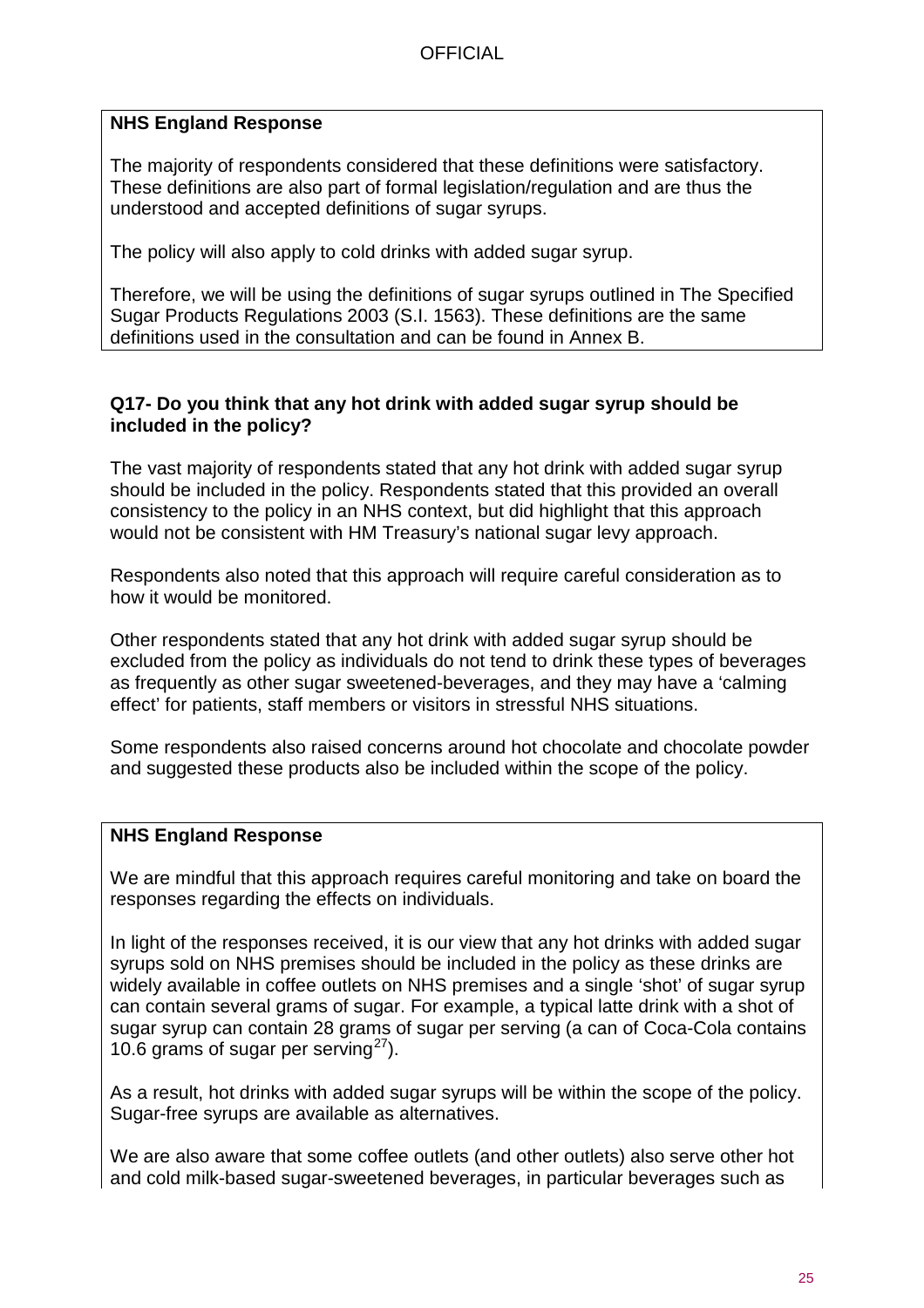## **NHS England Response**

The majority of respondents considered that these definitions were satisfactory. These definitions are also part of formal legislation/regulation and are thus the understood and accepted definitions of sugar syrups.

The policy will also apply to cold drinks with added sugar syrup.

Therefore, we will be using the definitions of sugar syrups outlined in The Specified Sugar Products Regulations 2003 (S.I. 1563). These definitions are the same definitions used in the consultation and can be found in Annex B.

#### **Q17- Do you think that any hot drink with added sugar syrup should be included in the policy?**

The vast majority of respondents stated that any hot drink with added sugar syrup should be included in the policy. Respondents stated that this provided an overall consistency to the policy in an NHS context, but did highlight that this approach would not be consistent with HM Treasury's national sugar levy approach.

Respondents also noted that this approach will require careful consideration as to how it would be monitored.

Other respondents stated that any hot drink with added sugar syrup should be excluded from the policy as individuals do not tend to drink these types of beverages as frequently as other sugar sweetened-beverages, and they may have a 'calming effect' for patients, staff members or visitors in stressful NHS situations.

Some respondents also raised concerns around hot chocolate and chocolate powder and suggested these products also be included within the scope of the policy.

## **NHS England Response**

We are mindful that this approach requires careful monitoring and take on board the responses regarding the effects on individuals.

In light of the responses received, it is our view that any hot drinks with added sugar syrups sold on NHS premises should be included in the policy as these drinks are widely available in coffee outlets on NHS premises and a single 'shot' of sugar syrup can contain several grams of sugar. For example, a typical latte drink with a shot of sugar syrup can contain 28 grams of sugar per serving (a can of Coca-Cola contains 10.6 grams of sugar per serving $^{27}$ ).

As a result, hot drinks with added sugar syrups will be within the scope of the policy. Sugar-free syrups are available as alternatives.

We are also aware that some coffee outlets (and other outlets) also serve other hot and cold milk-based sugar-sweetened beverages, in particular beverages such as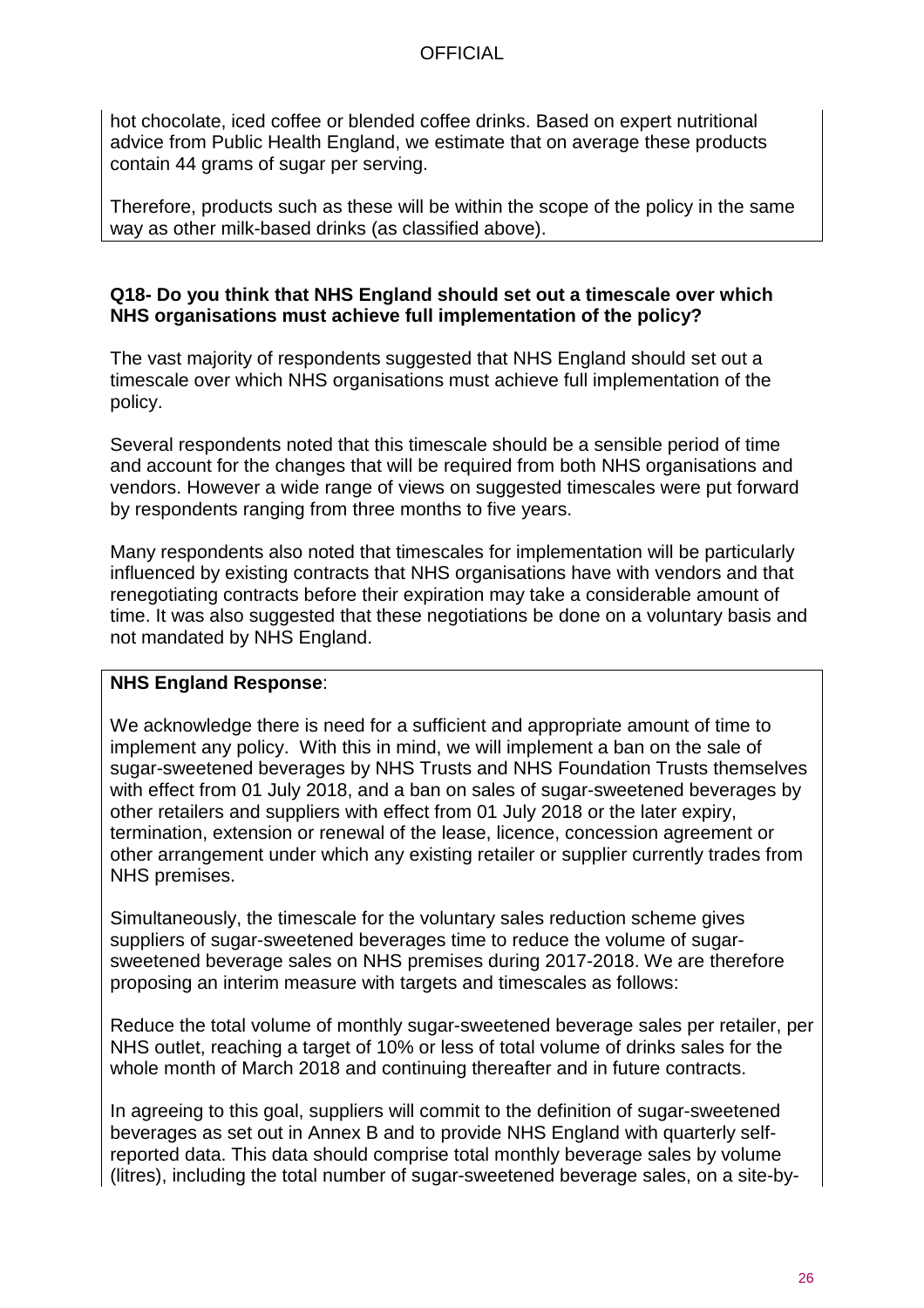hot chocolate, iced coffee or blended coffee drinks. Based on expert nutritional advice from Public Health England, we estimate that on average these products contain 44 grams of sugar per serving.

Therefore, products such as these will be within the scope of the policy in the same way as other milk-based drinks (as classified above).

### **Q18- Do you think that NHS England should set out a timescale over which NHS organisations must achieve full implementation of the policy?**

The vast majority of respondents suggested that NHS England should set out a timescale over which NHS organisations must achieve full implementation of the policy.

Several respondents noted that this timescale should be a sensible period of time and account for the changes that will be required from both NHS organisations and vendors. However a wide range of views on suggested timescales were put forward by respondents ranging from three months to five years.

Many respondents also noted that timescales for implementation will be particularly influenced by existing contracts that NHS organisations have with vendors and that renegotiating contracts before their expiration may take a considerable amount of time. It was also suggested that these negotiations be done on a voluntary basis and not mandated by NHS England.

## **NHS England Response**:

We acknowledge there is need for a sufficient and appropriate amount of time to implement any policy. With this in mind, we will implement a ban on the sale of sugar-sweetened beverages by NHS Trusts and NHS Foundation Trusts themselves with effect from 01 July 2018, and a ban on sales of sugar-sweetened beverages by other retailers and suppliers with effect from 01 July 2018 or the later expiry, termination, extension or renewal of the lease, licence, concession agreement or other arrangement under which any existing retailer or supplier currently trades from NHS premises.

Simultaneously, the timescale for the voluntary sales reduction scheme gives suppliers of sugar-sweetened beverages time to reduce the volume of sugarsweetened beverage sales on NHS premises during 2017-2018. We are therefore proposing an interim measure with targets and timescales as follows:

Reduce the total volume of monthly sugar-sweetened beverage sales per retailer, per NHS outlet, reaching a target of 10% or less of total volume of drinks sales for the whole month of March 2018 and continuing thereafter and in future contracts.

In agreeing to this goal, suppliers will commit to the definition of sugar-sweetened beverages as set out in Annex B and to provide NHS England with quarterly selfreported data. This data should comprise total monthly beverage sales by volume (litres), including the total number of sugar-sweetened beverage sales, on a site-by-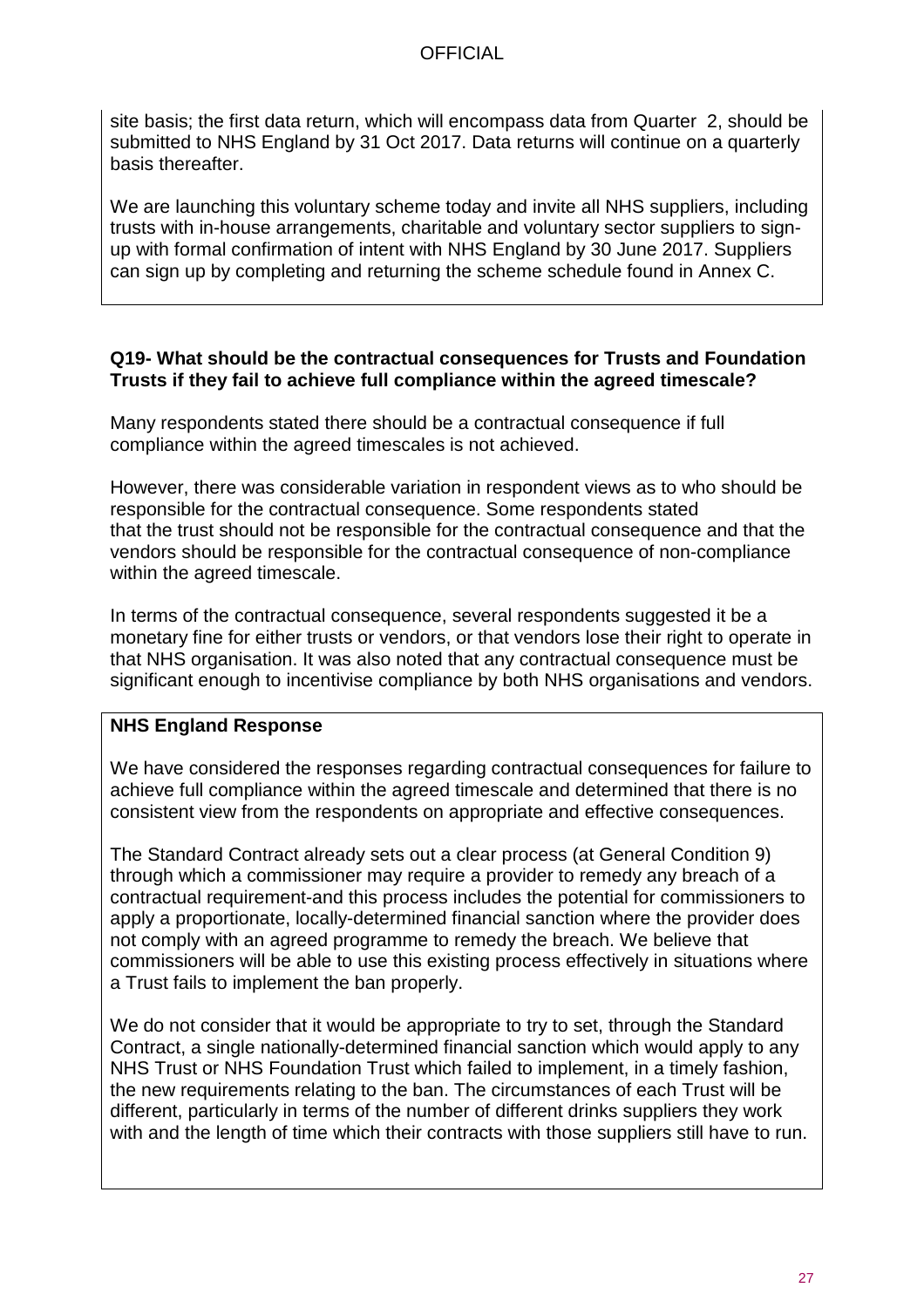site basis; the first data return, which will encompass data from Quarter 2, should be submitted to NHS England by 31 Oct 2017. Data returns will continue on a quarterly basis thereafter.

We are launching this voluntary scheme today and invite all NHS suppliers, including trusts with in-house arrangements, charitable and voluntary sector suppliers to signup with formal confirmation of intent with NHS England by 30 June 2017. Suppliers can sign up by completing and returning the scheme schedule found in Annex C.

#### **Q19- What should be the contractual consequences for Trusts and Foundation Trusts if they fail to achieve full compliance within the agreed timescale?**

Many respondents stated there should be a contractual consequence if full compliance within the agreed timescales is not achieved.

However, there was considerable variation in respondent views as to who should be responsible for the contractual consequence. Some respondents stated that the trust should not be responsible for the contractual consequence and that the vendors should be responsible for the contractual consequence of non-compliance within the agreed timescale.

In terms of the contractual consequence, several respondents suggested it be a monetary fine for either trusts or vendors, or that vendors lose their right to operate in that NHS organisation. It was also noted that any contractual consequence must be significant enough to incentivise compliance by both NHS organisations and vendors.

## **NHS England Response**

We have considered the responses regarding contractual consequences for failure to achieve full compliance within the agreed timescale and determined that there is no consistent view from the respondents on appropriate and effective consequences.

The Standard Contract already sets out a clear process (at General Condition 9) through which a commissioner may require a provider to remedy any breach of a contractual requirement-and this process includes the potential for commissioners to apply a proportionate, locally-determined financial sanction where the provider does not comply with an agreed programme to remedy the breach. We believe that commissioners will be able to use this existing process effectively in situations where a Trust fails to implement the ban properly.

We do not consider that it would be appropriate to try to set, through the Standard Contract, a single nationally-determined financial sanction which would apply to any NHS Trust or NHS Foundation Trust which failed to implement, in a timely fashion, the new requirements relating to the ban. The circumstances of each Trust will be different, particularly in terms of the number of different drinks suppliers they work with and the length of time which their contracts with those suppliers still have to run.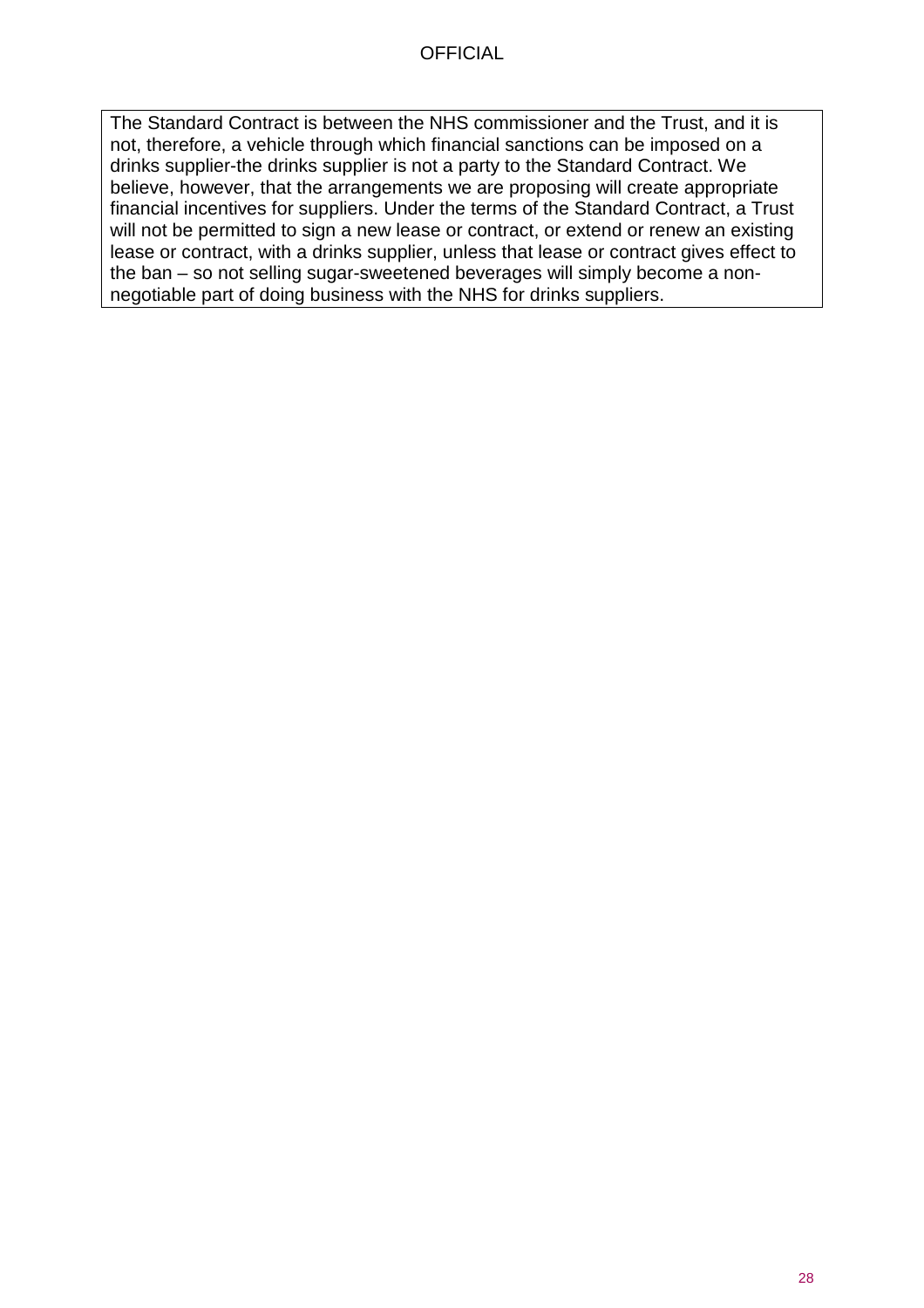The Standard Contract is between the NHS commissioner and the Trust, and it is not, therefore, a vehicle through which financial sanctions can be imposed on a drinks supplier-the drinks supplier is not a party to the Standard Contract. We believe, however, that the arrangements we are proposing will create appropriate financial incentives for suppliers. Under the terms of the Standard Contract, a Trust will not be permitted to sign a new lease or contract, or extend or renew an existing lease or contract, with a drinks supplier, unless that lease or contract gives effect to the ban – so not selling sugar-sweetened beverages will simply become a nonnegotiable part of doing business with the NHS for drinks suppliers.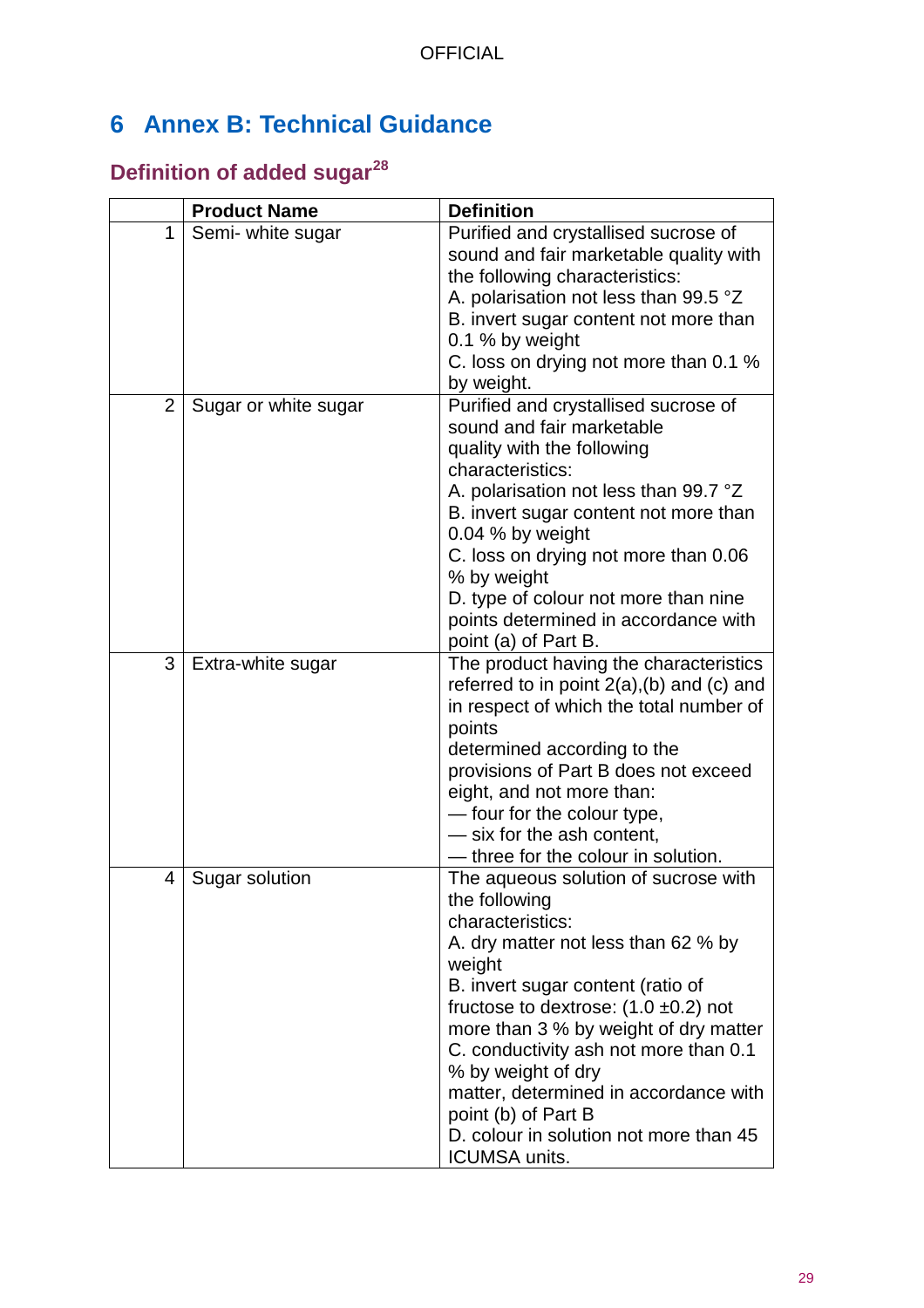# <span id="page-28-0"></span>**6 Annex B: Technical Guidance**

# <span id="page-28-1"></span>**Definition of added sugar[28](#page-37-27)**

|                | <b>Product Name</b>  | <b>Definition</b>                                                                                                                                                                                                                                                                                                                                                                                                                                      |
|----------------|----------------------|--------------------------------------------------------------------------------------------------------------------------------------------------------------------------------------------------------------------------------------------------------------------------------------------------------------------------------------------------------------------------------------------------------------------------------------------------------|
| 1              | Semi- white sugar    | Purified and crystallised sucrose of<br>sound and fair marketable quality with<br>the following characteristics:<br>A. polarisation not less than 99.5 °Z<br>B. invert sugar content not more than<br>0.1 % by weight<br>C. loss on drying not more than 0.1 %                                                                                                                                                                                         |
|                |                      | by weight.                                                                                                                                                                                                                                                                                                                                                                                                                                             |
| $\overline{2}$ | Sugar or white sugar | Purified and crystallised sucrose of<br>sound and fair marketable<br>quality with the following<br>characteristics:<br>A. polarisation not less than 99.7 °Z<br>B. invert sugar content not more than<br>0.04 % by weight<br>C. loss on drying not more than 0.06<br>% by weight<br>D. type of colour not more than nine<br>points determined in accordance with<br>point (a) of Part B.                                                               |
| 3              | Extra-white sugar    | The product having the characteristics<br>referred to in point 2(a), (b) and (c) and<br>in respect of which the total number of<br>points<br>determined according to the<br>provisions of Part B does not exceed<br>eight, and not more than:<br>- four for the colour type,<br>- six for the ash content,<br>three for the colour in solution.                                                                                                        |
| 4              | Sugar solution       | The aqueous solution of sucrose with<br>the following<br>characteristics:<br>A. dry matter not less than 62 % by<br>weight<br>B. invert sugar content (ratio of<br>fructose to dextrose: $(1.0 \pm 0.2)$ not<br>more than 3 % by weight of dry matter<br>C. conductivity ash not more than 0.1<br>% by weight of dry<br>matter, determined in accordance with<br>point (b) of Part B<br>D. colour in solution not more than 45<br><b>ICUMSA units.</b> |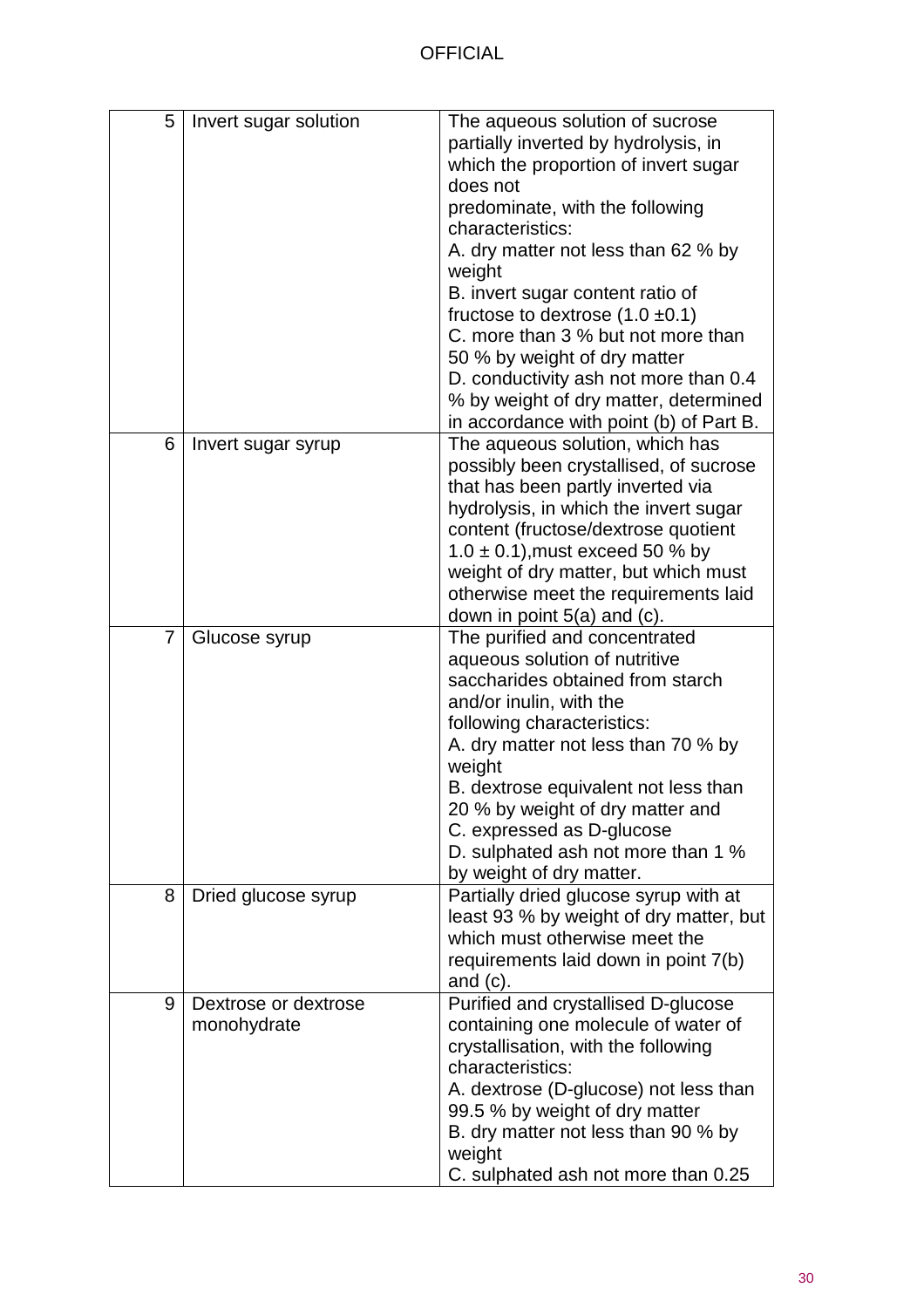| 5 | Invert sugar solution               | The aqueous solution of sucrose<br>partially inverted by hydrolysis, in<br>which the proportion of invert sugar<br>does not<br>predominate, with the following<br>characteristics:<br>A. dry matter not less than 62 % by<br>weight<br>B. invert sugar content ratio of<br>fructose to dextrose $(1.0 \pm 0.1)$<br>C. more than 3 % but not more than<br>50 % by weight of dry matter<br>D. conductivity ash not more than 0.4<br>% by weight of dry matter, determined<br>in accordance with point (b) of Part B. |
|---|-------------------------------------|--------------------------------------------------------------------------------------------------------------------------------------------------------------------------------------------------------------------------------------------------------------------------------------------------------------------------------------------------------------------------------------------------------------------------------------------------------------------------------------------------------------------|
| 6 | Invert sugar syrup                  | The aqueous solution, which has<br>possibly been crystallised, of sucrose<br>that has been partly inverted via<br>hydrolysis, in which the invert sugar<br>content (fructose/dextrose quotient<br>$1.0 \pm 0.1$ , must exceed 50 % by<br>weight of dry matter, but which must<br>otherwise meet the requirements laid<br>down in point $5(a)$ and $(c)$ .                                                                                                                                                          |
| 7 | Glucose syrup                       | The purified and concentrated<br>aqueous solution of nutritive<br>saccharides obtained from starch<br>and/or inulin, with the<br>following characteristics:<br>A. dry matter not less than 70 % by<br>weight<br>B. dextrose equivalent not less than<br>20 % by weight of dry matter and<br>C. expressed as D-glucose<br>D. sulphated ash not more than 1 %<br>by weight of dry matter.                                                                                                                            |
| 8 | Dried glucose syrup                 | Partially dried glucose syrup with at<br>least 93 % by weight of dry matter, but<br>which must otherwise meet the<br>requirements laid down in point 7(b)<br>and $(c)$ .                                                                                                                                                                                                                                                                                                                                           |
| 9 | Dextrose or dextrose<br>monohydrate | Purified and crystallised D-glucose<br>containing one molecule of water of<br>crystallisation, with the following<br>characteristics:<br>A. dextrose (D-glucose) not less than<br>99.5 % by weight of dry matter<br>B. dry matter not less than 90 % by<br>weight<br>C. sulphated ash not more than 0.25                                                                                                                                                                                                           |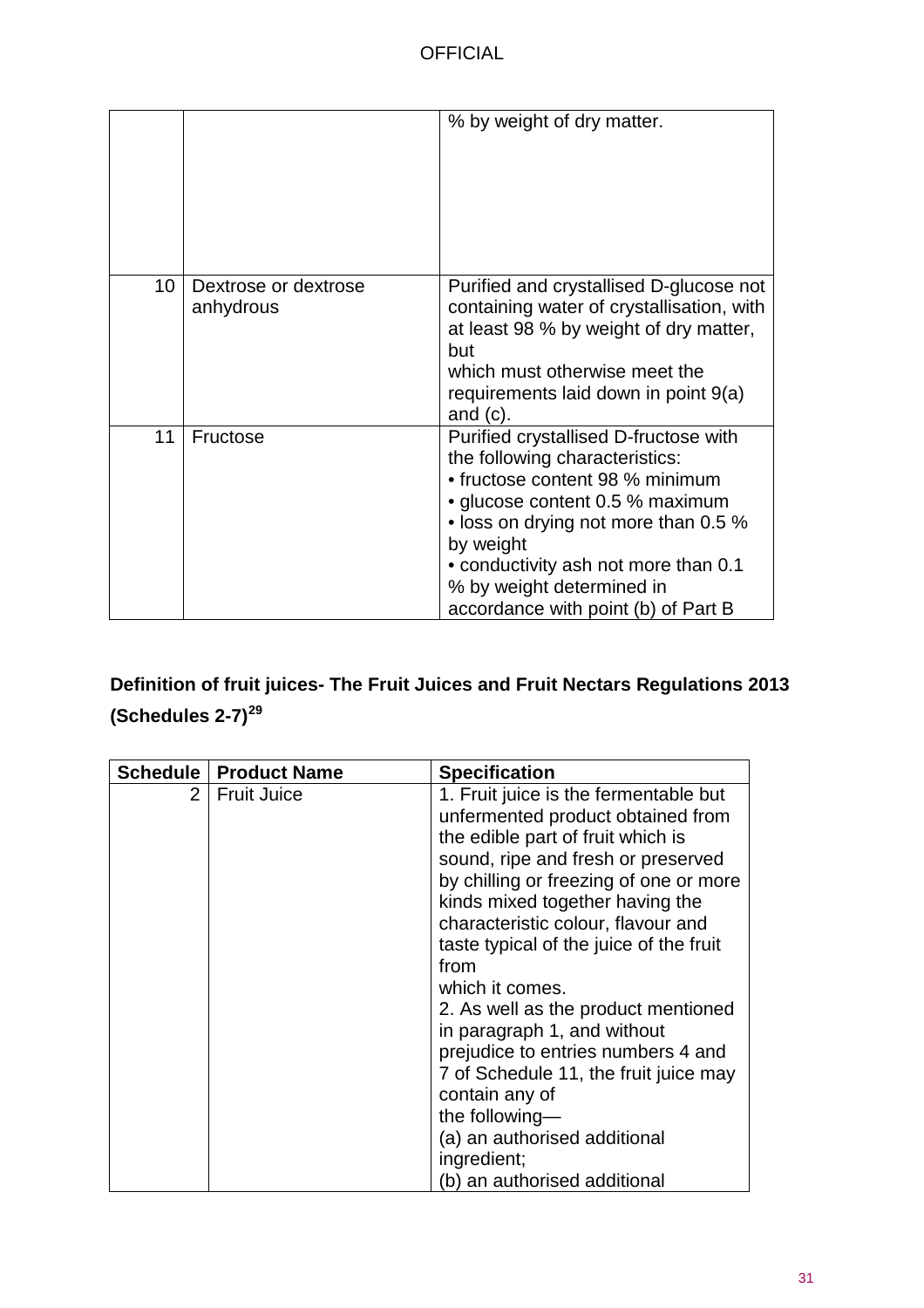|    |                                   | % by weight of dry matter.                                                                                                                                                                                                                                                                                     |
|----|-----------------------------------|----------------------------------------------------------------------------------------------------------------------------------------------------------------------------------------------------------------------------------------------------------------------------------------------------------------|
|    |                                   |                                                                                                                                                                                                                                                                                                                |
| 10 | Dextrose or dextrose<br>anhydrous | Purified and crystallised D-glucose not<br>containing water of crystallisation, with<br>at least 98 % by weight of dry matter,<br>but<br>which must otherwise meet the<br>requirements laid down in point 9(a)<br>and $(c)$ .                                                                                  |
| 11 | Fructose                          | Purified crystallised D-fructose with<br>the following characteristics:<br>• fructose content 98 % minimum<br>• glucose content 0.5 % maximum<br>• loss on drying not more than 0.5 %<br>by weight<br>• conductivity ash not more than 0.1<br>% by weight determined in<br>accordance with point (b) of Part B |

# <span id="page-30-0"></span>**Definition of fruit juices- The Fruit Juices and Fruit Nectars Regulations 2013 (Schedules 2-7)[29](#page-37-28)**

|                | <b>Schedule   Product Name</b> | <b>Specification</b>                    |
|----------------|--------------------------------|-----------------------------------------|
| $\overline{2}$ | <b>Fruit Juice</b>             | 1. Fruit juice is the fermentable but   |
|                |                                | unfermented product obtained from       |
|                |                                | the edible part of fruit which is       |
|                |                                | sound, ripe and fresh or preserved      |
|                |                                | by chilling or freezing of one or more  |
|                |                                | kinds mixed together having the         |
|                |                                | characteristic colour, flavour and      |
|                |                                | taste typical of the juice of the fruit |
|                |                                | from                                    |
|                |                                | which it comes.                         |
|                |                                | 2. As well as the product mentioned     |
|                |                                | in paragraph 1, and without             |
|                |                                | prejudice to entries numbers 4 and      |
|                |                                | 7 of Schedule 11, the fruit juice may   |
|                |                                | contain any of                          |
|                |                                | the following-                          |
|                |                                | (a) an authorised additional            |
|                |                                | ingredient;                             |
|                |                                | (b) an authorised additional            |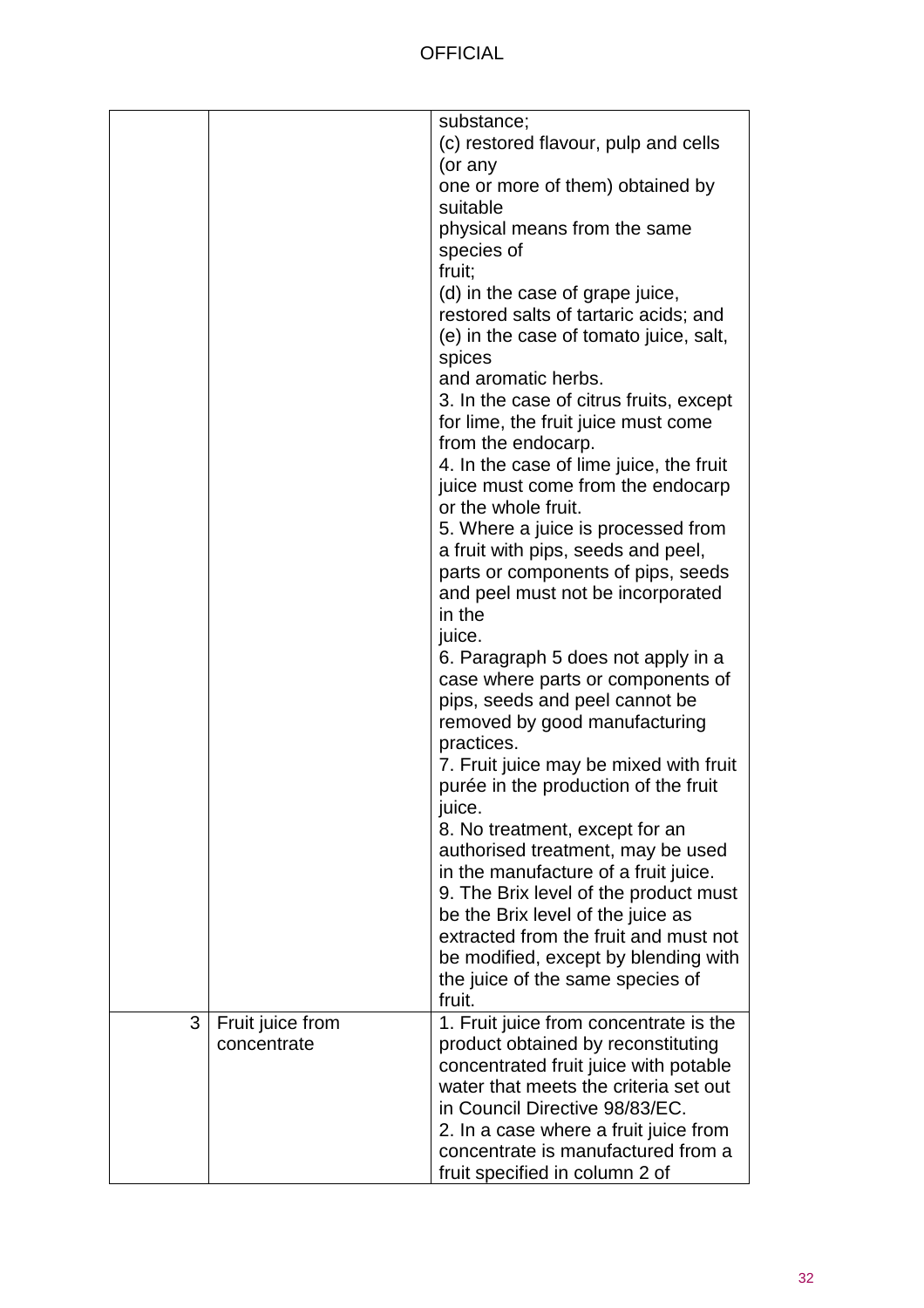|   |                  | substance;                              |
|---|------------------|-----------------------------------------|
|   |                  | (c) restored flavour, pulp and cells    |
|   |                  |                                         |
|   |                  | (or any                                 |
|   |                  | one or more of them) obtained by        |
|   |                  | suitable                                |
|   |                  | physical means from the same            |
|   |                  | species of                              |
|   |                  | fruit;                                  |
|   |                  | (d) in the case of grape juice,         |
|   |                  | restored salts of tartaric acids; and   |
|   |                  | (e) in the case of tomato juice, salt,  |
|   |                  | spices                                  |
|   |                  | and aromatic herbs.                     |
|   |                  | 3. In the case of citrus fruits, except |
|   |                  | for lime, the fruit juice must come     |
|   |                  | from the endocarp.                      |
|   |                  | 4. In the case of lime juice, the fruit |
|   |                  | juice must come from the endocarp       |
|   |                  | or the whole fruit.                     |
|   |                  | 5. Where a juice is processed from      |
|   |                  | a fruit with pips, seeds and peel,      |
|   |                  | parts or components of pips, seeds      |
|   |                  | and peel must not be incorporated       |
|   |                  | in the                                  |
|   |                  | juice.                                  |
|   |                  | 6. Paragraph 5 does not apply in a      |
|   |                  | case where parts or components of       |
|   |                  | pips, seeds and peel cannot be          |
|   |                  | removed by good manufacturing           |
|   |                  | practices.                              |
|   |                  | 7. Fruit juice may be mixed with fruit  |
|   |                  | purée in the production of the fruit    |
|   |                  | juice.                                  |
|   |                  | 8. No treatment, except for an          |
|   |                  | authorised treatment, may be used       |
|   |                  | in the manufacture of a fruit juice.    |
|   |                  | 9. The Brix level of the product must   |
|   |                  | be the Brix level of the juice as       |
|   |                  | extracted from the fruit and must not   |
|   |                  | be modified, except by blending with    |
|   |                  | the juice of the same species of        |
|   |                  | fruit.                                  |
| 3 | Fruit juice from | 1. Fruit juice from concentrate is the  |
|   | concentrate      | product obtained by reconstituting      |
|   |                  | concentrated fruit juice with potable   |
|   |                  | water that meets the criteria set out   |
|   |                  | in Council Directive 98/83/EC.          |
|   |                  | 2. In a case where a fruit juice from   |
|   |                  | concentrate is manufactured from a      |
|   |                  | fruit specified in column 2 of          |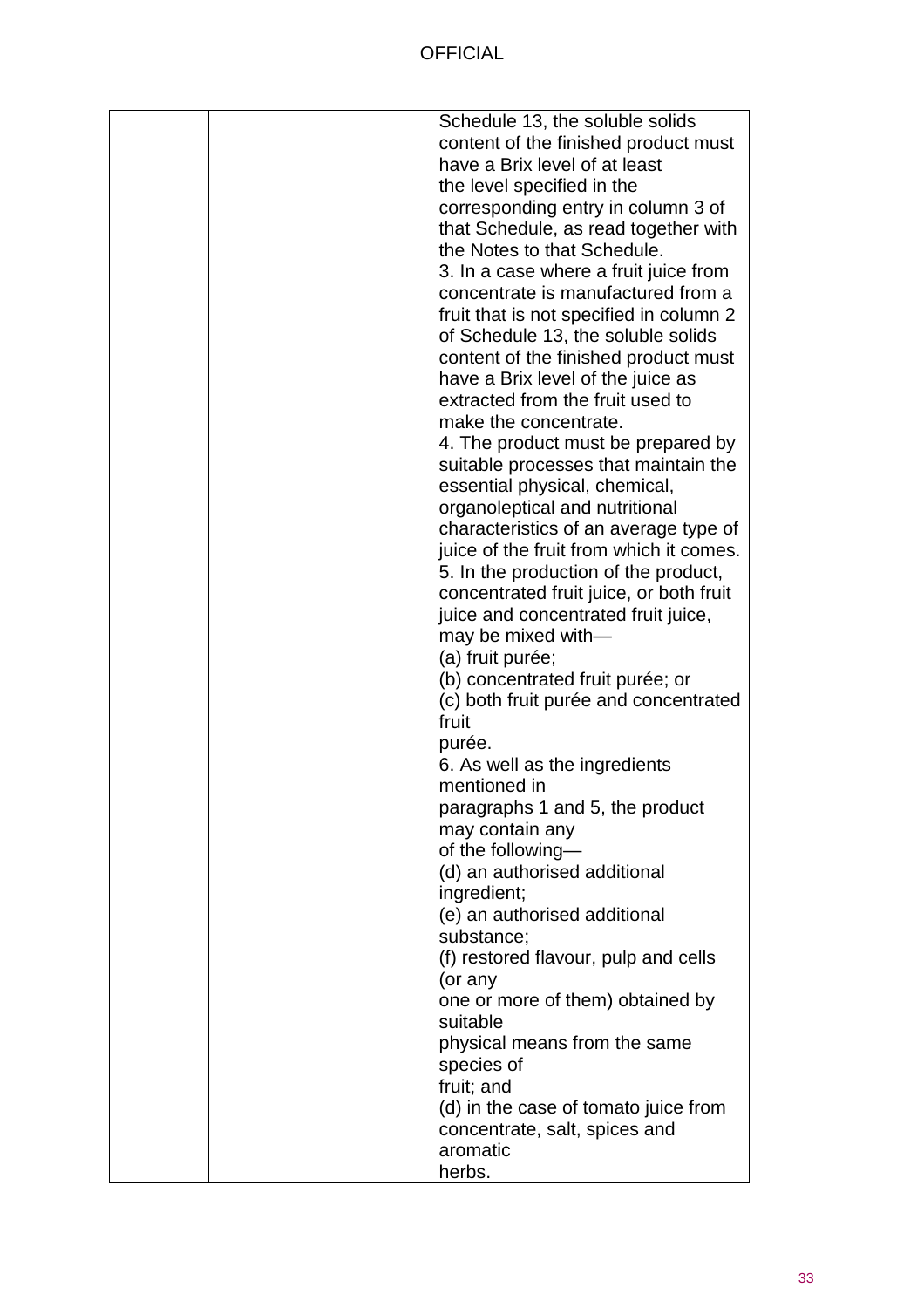|  | Schedule 13, the soluble solids         |
|--|-----------------------------------------|
|  | content of the finished product must    |
|  | have a Brix level of at least           |
|  | the level specified in the              |
|  | corresponding entry in column 3 of      |
|  | that Schedule, as read together with    |
|  | the Notes to that Schedule.             |
|  | 3. In a case where a fruit juice from   |
|  | concentrate is manufactured from a      |
|  | fruit that is not specified in column 2 |
|  | of Schedule 13, the soluble solids      |
|  | content of the finished product must    |
|  | have a Brix level of the juice as       |
|  | extracted from the fruit used to        |
|  | make the concentrate.                   |
|  | 4. The product must be prepared by      |
|  | suitable processes that maintain the    |
|  | essential physical, chemical,           |
|  | organoleptical and nutritional          |
|  | characteristics of an average type of   |
|  | juice of the fruit from which it comes. |
|  | 5. In the production of the product,    |
|  | concentrated fruit juice, or both fruit |
|  | juice and concentrated fruit juice,     |
|  | may be mixed with-                      |
|  | (a) fruit purée;                        |
|  | (b) concentrated fruit purée; or        |
|  | (c) both fruit purée and concentrated   |
|  | fruit                                   |
|  | purée.                                  |
|  | 6. As well as the ingredients           |
|  | mentioned in                            |
|  | paragraphs 1 and 5, the product         |
|  | may contain any                         |
|  | of the following-                       |
|  | (d) an authorised additional            |
|  | ingredient;                             |
|  | (e) an authorised additional            |
|  | substance;                              |
|  | (f) restored flavour, pulp and cells    |
|  | (or any                                 |
|  | one or more of them) obtained by        |
|  | suitable                                |
|  | physical means from the same            |
|  | species of                              |
|  | fruit; and                              |
|  | (d) in the case of tomato juice from    |
|  | concentrate, salt, spices and           |
|  | aromatic                                |
|  | herbs.                                  |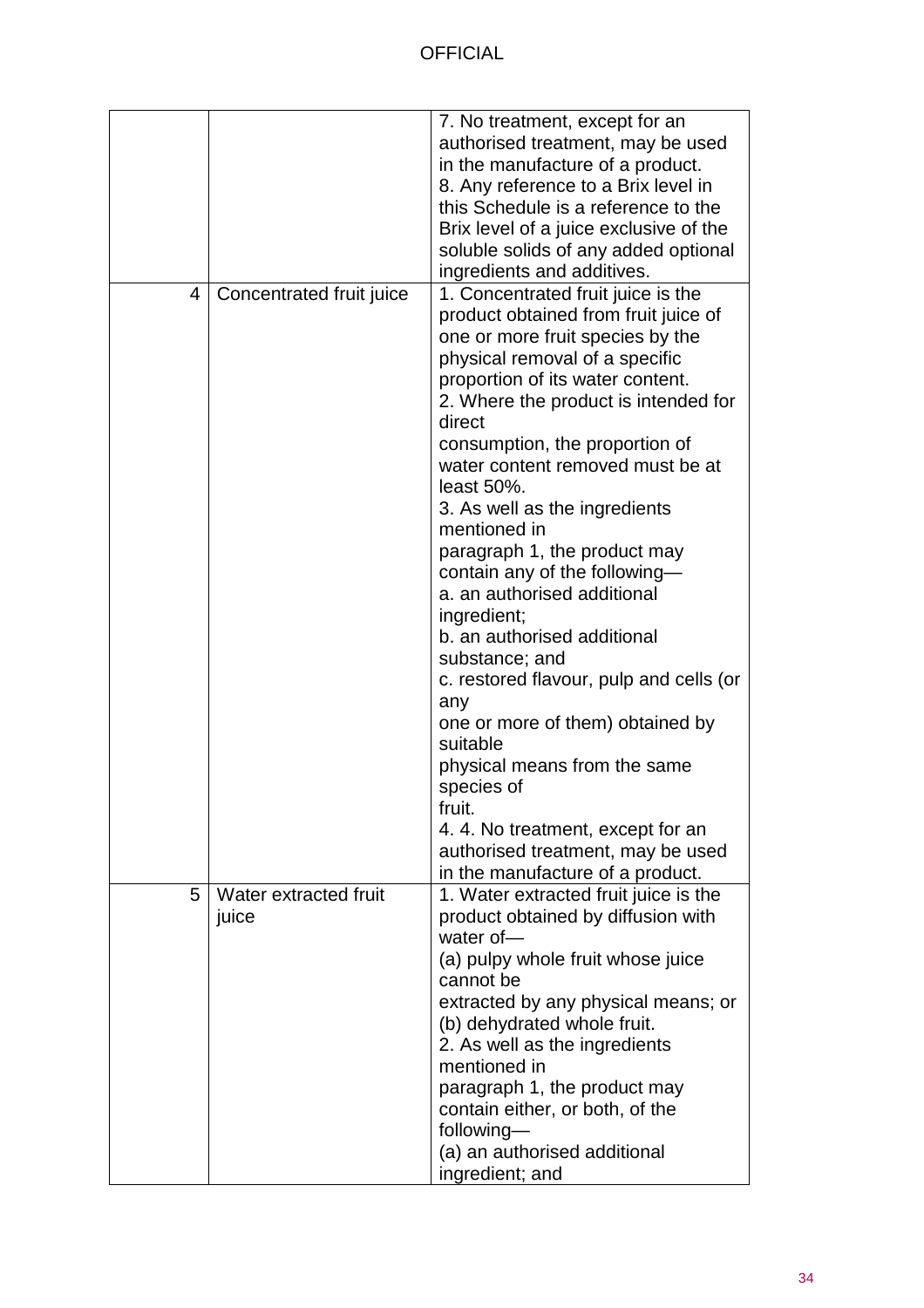|   |                          | 7. No treatment, except for an<br>authorised treatment, may be used<br>in the manufacture of a product.<br>8. Any reference to a Brix level in<br>this Schedule is a reference to the<br>Brix level of a juice exclusive of the<br>soluble solids of any added optional<br>ingredients and additives.                                                                                                                                                                                                                                                                                                                                                                                                                                                                          |
|---|--------------------------|--------------------------------------------------------------------------------------------------------------------------------------------------------------------------------------------------------------------------------------------------------------------------------------------------------------------------------------------------------------------------------------------------------------------------------------------------------------------------------------------------------------------------------------------------------------------------------------------------------------------------------------------------------------------------------------------------------------------------------------------------------------------------------|
| 4 | Concentrated fruit juice | 1. Concentrated fruit juice is the<br>product obtained from fruit juice of<br>one or more fruit species by the<br>physical removal of a specific<br>proportion of its water content.<br>2. Where the product is intended for<br>direct<br>consumption, the proportion of<br>water content removed must be at<br>least 50%.<br>3. As well as the ingredients<br>mentioned in<br>paragraph 1, the product may<br>contain any of the following-<br>a. an authorised additional<br>ingredient;<br>b. an authorised additional<br>substance; and<br>c. restored flavour, pulp and cells (or<br>any<br>one or more of them) obtained by<br>suitable<br>physical means from the same<br>species of<br>truit.<br>4.4. No treatment, except for an<br>authorised treatment, may be used |
| 5 | Water extracted fruit    | in the manufacture of a product.<br>1. Water extracted fruit juice is the                                                                                                                                                                                                                                                                                                                                                                                                                                                                                                                                                                                                                                                                                                      |
|   | juice                    | product obtained by diffusion with<br>water of $-$<br>(a) pulpy whole fruit whose juice<br>cannot be<br>extracted by any physical means; or<br>(b) dehydrated whole fruit.<br>2. As well as the ingredients<br>mentioned in<br>paragraph 1, the product may<br>contain either, or both, of the<br>following-<br>(a) an authorised additional<br>ingredient; and                                                                                                                                                                                                                                                                                                                                                                                                                |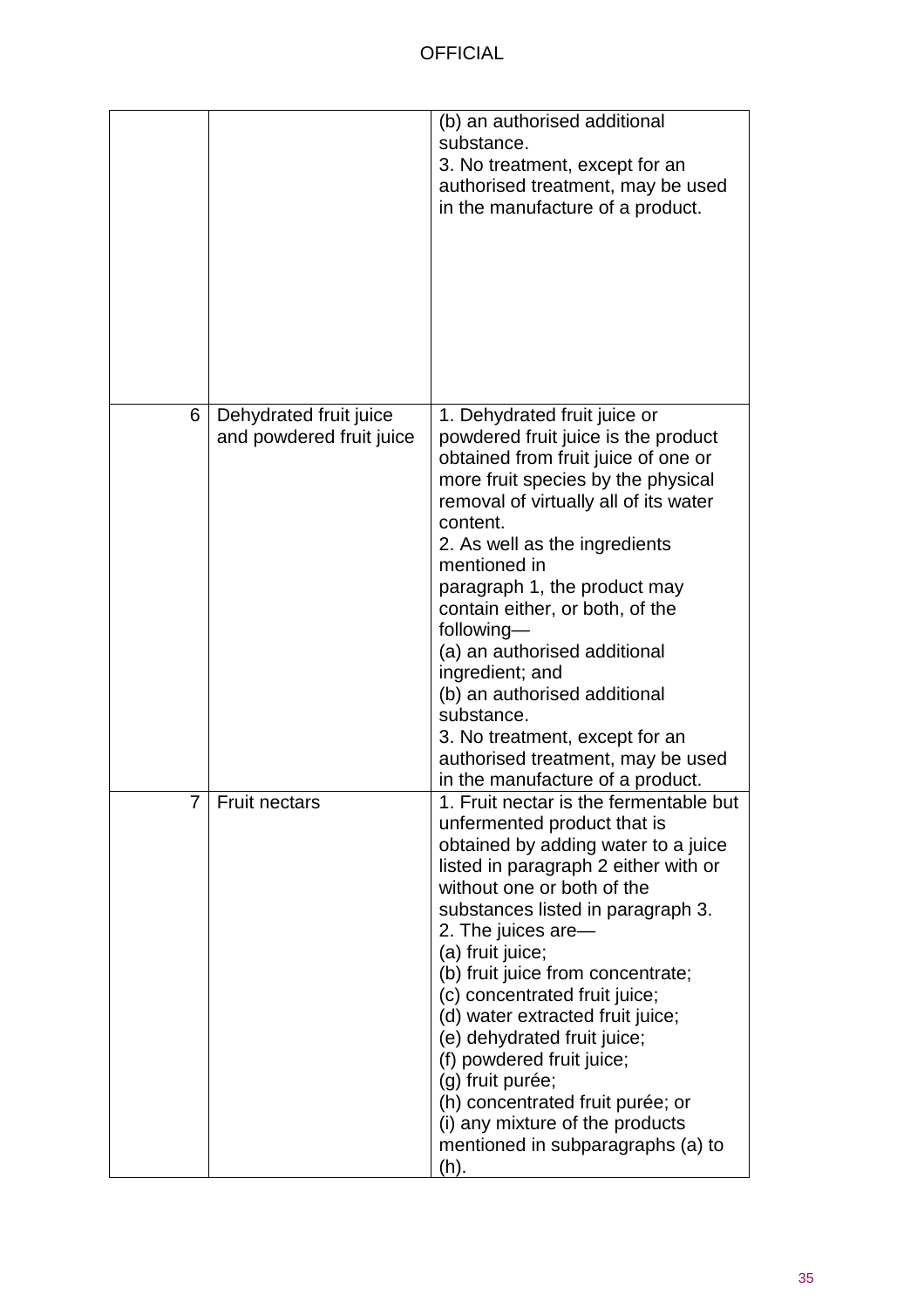|                |                                                    | (b) an authorised additional<br>substance.<br>3. No treatment, except for an<br>authorised treatment, may be used<br>in the manufacture of a product.                                                                                                                                                                                                                                                                                                                                                                                                                           |
|----------------|----------------------------------------------------|---------------------------------------------------------------------------------------------------------------------------------------------------------------------------------------------------------------------------------------------------------------------------------------------------------------------------------------------------------------------------------------------------------------------------------------------------------------------------------------------------------------------------------------------------------------------------------|
| 6              | Dehydrated fruit juice<br>and powdered fruit juice | 1. Dehydrated fruit juice or<br>powdered fruit juice is the product<br>obtained from fruit juice of one or<br>more fruit species by the physical<br>removal of virtually all of its water<br>content.<br>2. As well as the ingredients<br>mentioned in<br>paragraph 1, the product may<br>contain either, or both, of the<br>following-<br>(a) an authorised additional<br>ingredient; and<br>(b) an authorised additional<br>substance.<br>3. No treatment, except for an<br>authorised treatment, may be used<br>in the manufacture of a product.                             |
| $\overline{7}$ | Fruit nectars                                      | 1. Fruit nectar is the fermentable but<br>unfermented product that is<br>obtained by adding water to a juice<br>listed in paragraph 2 either with or<br>without one or both of the<br>substances listed in paragraph 3.<br>2. The juices are-<br>(a) fruit juice;<br>(b) fruit juice from concentrate;<br>(c) concentrated fruit juice;<br>(d) water extracted fruit juice;<br>(e) dehydrated fruit juice;<br>(f) powdered fruit juice;<br>(g) fruit purée;<br>(h) concentrated fruit purée; or<br>(i) any mixture of the products<br>mentioned in subparagraphs (a) to<br>(h). |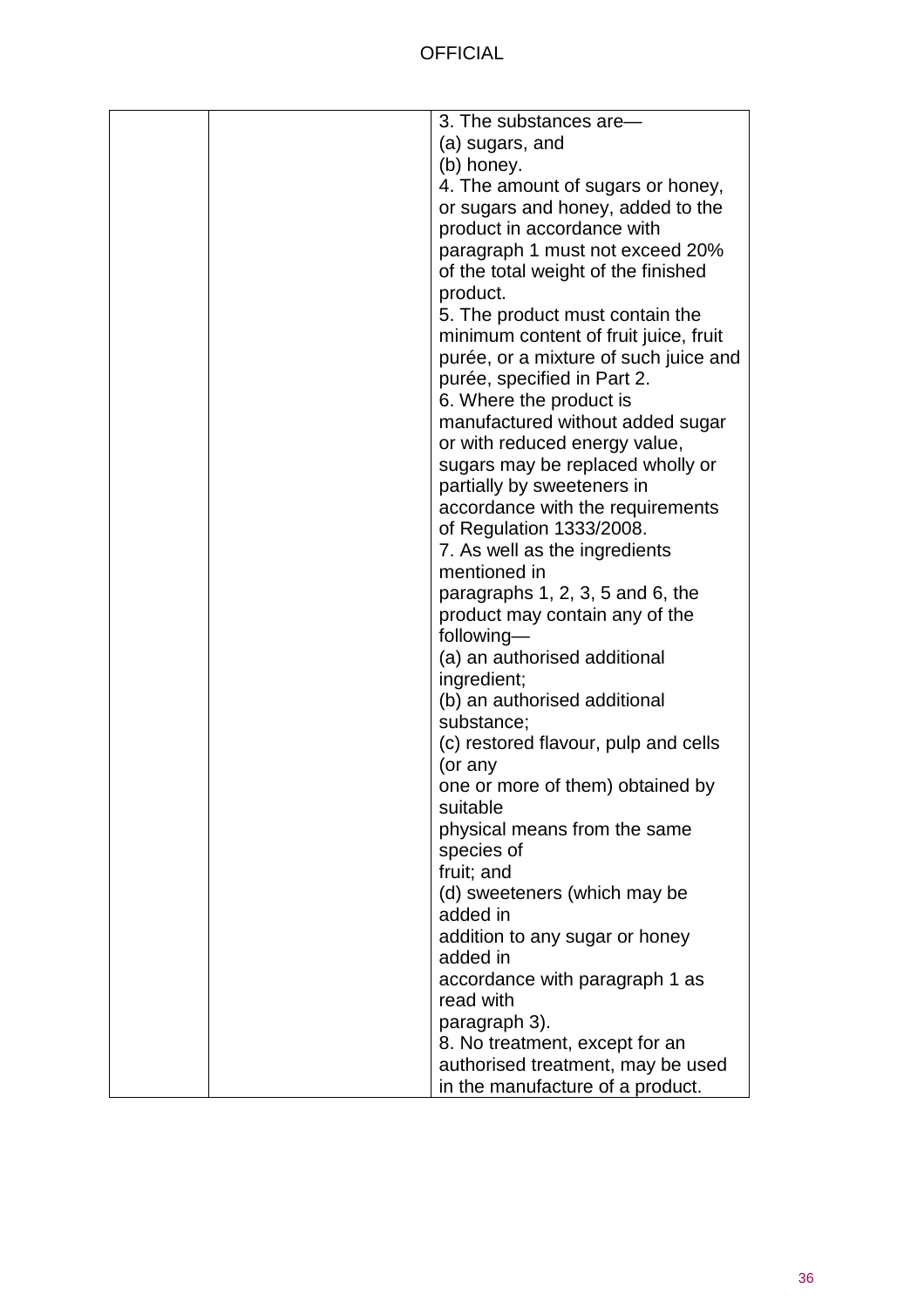|  | 3. The substances are-                |
|--|---------------------------------------|
|  | (a) sugars, and                       |
|  | (b) honey.                            |
|  | 4. The amount of sugars or honey,     |
|  | or sugars and honey, added to the     |
|  | product in accordance with            |
|  | paragraph 1 must not exceed 20%       |
|  | of the total weight of the finished   |
|  | product.                              |
|  | 5. The product must contain the       |
|  | minimum content of fruit juice, fruit |
|  | purée, or a mixture of such juice and |
|  | purée, specified in Part 2.           |
|  | 6. Where the product is               |
|  | manufactured without added sugar      |
|  | or with reduced energy value,         |
|  | sugars may be replaced wholly or      |
|  | partially by sweeteners in            |
|  | accordance with the requirements      |
|  | of Regulation 1333/2008.              |
|  | 7. As well as the ingredients         |
|  | mentioned in                          |
|  | paragraphs $1, 2, 3, 5$ and $6$ , the |
|  | product may contain any of the        |
|  | following-                            |
|  | (a) an authorised additional          |
|  | ingredient;                           |
|  | (b) an authorised additional          |
|  | substance;                            |
|  | (c) restored flavour, pulp and cells  |
|  | (or any                               |
|  | one or more of them) obtained by      |
|  | suitable                              |
|  | physical means from the same          |
|  | species of                            |
|  | fruit; and                            |
|  | (d) sweeteners (which may be          |
|  | added in                              |
|  | addition to any sugar or honey        |
|  | added in                              |
|  | accordance with paragraph 1 as        |
|  | read with                             |
|  | paragraph 3).                         |
|  | 8. No treatment, except for an        |
|  | authorised treatment, may be used     |
|  | in the manufacture of a product.      |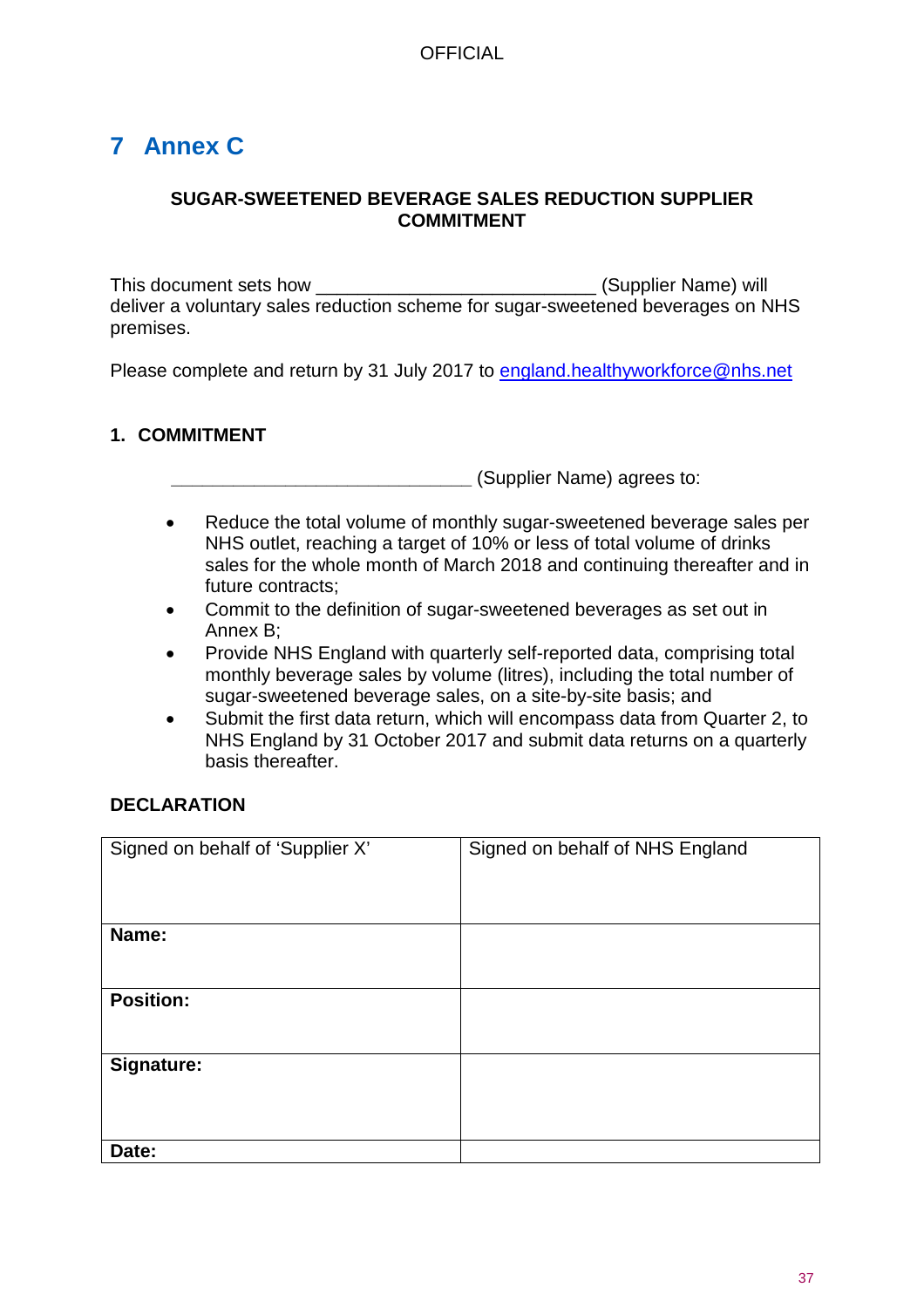# <span id="page-36-0"></span>**7 Annex C**

#### **SUGAR-SWEETENED BEVERAGE SALES REDUCTION SUPPLIER COMMITMENT**

This document sets how \_\_\_\_\_\_\_\_\_\_\_\_\_\_\_\_\_\_\_\_\_\_\_\_\_\_\_\_\_\_\_\_(Supplier Name) will deliver a voluntary sales reduction scheme for sugar-sweetened beverages on NHS premises.

Please complete and return by 31 July 2017 to [england.healthyworkforce@nhs.net](mailto:england.healthyworkforce@nhs.net)

## **1. COMMITMENT**

**\_\_\_\_\_\_\_\_\_\_\_\_\_\_\_\_\_\_\_\_\_\_\_\_\_\_\_\_\_** (Supplier Name) agrees to:

- Reduce the total volume of monthly sugar-sweetened beverage sales per NHS outlet, reaching a target of 10% or less of total volume of drinks sales for the whole month of March 2018 and continuing thereafter and in future contracts;
- Commit to the definition of sugar-sweetened beverages as set out in Annex B;
- Provide NHS England with quarterly self-reported data, comprising total monthly beverage sales by volume (litres), including the total number of sugar-sweetened beverage sales, on a site-by-site basis; and
- Submit the first data return, which will encompass data from Quarter 2, to NHS England by 31 October 2017 and submit data returns on a quarterly basis thereafter.

#### **DECLARATION**

| Signed on behalf of 'Supplier X' | Signed on behalf of NHS England |
|----------------------------------|---------------------------------|
| Name:                            |                                 |
| <b>Position:</b>                 |                                 |
| Signature:                       |                                 |
| Date:                            |                                 |